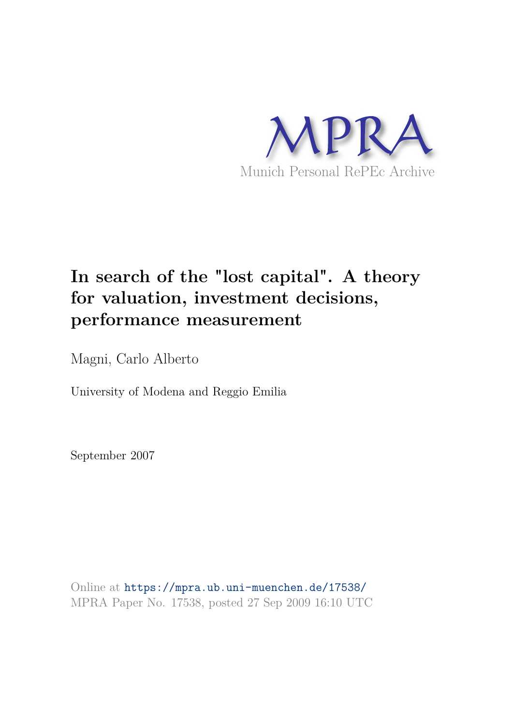

# **In search of the "lost capital". A theory for valuation, investment decisions, performance measurement**

Magni, Carlo Alberto

University of Modena and Reggio Emilia

September 2007

Online at https://mpra.ub.uni-muenchen.de/17538/ MPRA Paper No. 17538, posted 27 Sep 2009 16:10 UTC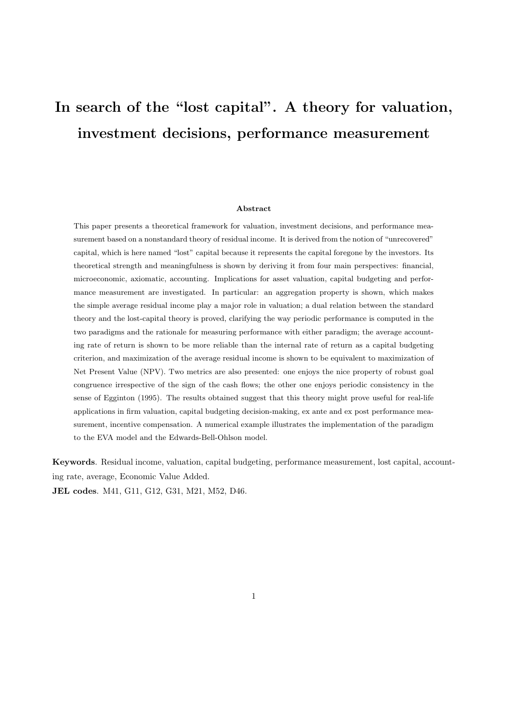# In search of the "lost capital". A theory for valuation, investment decisions, performance measurement

#### Abstract

This paper presents a theoretical framework for valuation, investment decisions, and performance measurement based on a nonstandard theory of residual income. It is derived from the notion of "unrecovered" capital, which is here named "lost" capital because it represents the capital foregone by the investors. Its theoretical strength and meaningfulness is shown by deriving it from four main perspectives: financial, microeconomic, axiomatic, accounting. Implications for asset valuation, capital budgeting and performance measurement are investigated. In particular: an aggregation property is shown, which makes the simple average residual income play a major role in valuation; a dual relation between the standard theory and the lost-capital theory is proved, clarifying the way periodic performance is computed in the two paradigms and the rationale for measuring performance with either paradigm; the average accounting rate of return is shown to be more reliable than the internal rate of return as a capital budgeting criterion, and maximization of the average residual income is shown to be equivalent to maximization of Net Present Value (NPV). Two metrics are also presented: one enjoys the nice property of robust goal congruence irrespective of the sign of the cash flows; the other one enjoys periodic consistency in the sense of Egginton (1995). The results obtained suggest that this theory might prove useful for real-life applications in firm valuation, capital budgeting decision-making, ex ante and ex post performance measurement, incentive compensation. A numerical example illustrates the implementation of the paradigm to the EVA model and the Edwards-Bell-Ohlson model.

Keywords. Residual income, valuation, capital budgeting, performance measurement, lost capital, accounting rate, average, Economic Value Added.

JEL codes. M41, G11, G12, G31, M21, M52, D46.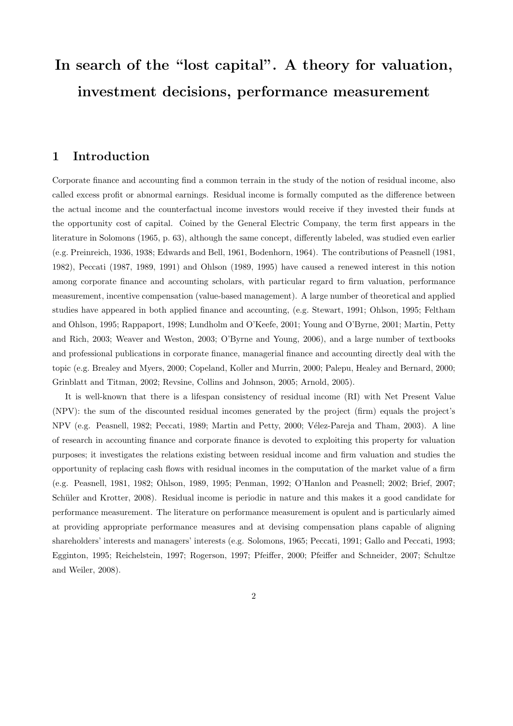# In search of the "lost capital". A theory for valuation, investment decisions, performance measurement

# 1 Introduction

Corporate finance and accounting find a common terrain in the study of the notion of residual income, also called excess profit or abnormal earnings. Residual income is formally computed as the difference between the actual income and the counterfactual income investors would receive if they invested their funds at the opportunity cost of capital. Coined by the General Electric Company, the term first appears in the literature in Solomons (1965, p. 63), although the same concept, differently labeled, was studied even earlier (e.g. Preinreich, 1936, 1938; Edwards and Bell, 1961, Bodenhorn, 1964). The contributions of Peasnell (1981, 1982), Peccati (1987, 1989, 1991) and Ohlson (1989, 1995) have caused a renewed interest in this notion among corporate finance and accounting scholars, with particular regard to firm valuation, performance measurement, incentive compensation (value-based management). A large number of theoretical and applied studies have appeared in both applied finance and accounting, (e.g. Stewart, 1991; Ohlson, 1995; Feltham and Ohlson, 1995; Rappaport, 1998; Lundholm and O'Keefe, 2001; Young and O'Byrne, 2001; Martin, Petty and Rich, 2003; Weaver and Weston, 2003; O'Byrne and Young, 2006), and a large number of textbooks and professional publications in corporate finance, managerial finance and accounting directly deal with the topic (e.g. Brealey and Myers, 2000; Copeland, Koller and Murrin, 2000; Palepu, Healey and Bernard, 2000; Grinblatt and Titman, 2002; Revsine, Collins and Johnson, 2005; Arnold, 2005).

It is well-known that there is a lifespan consistency of residual income (RI) with Net Present Value (NPV): the sum of the discounted residual incomes generated by the project (firm) equals the project's NPV (e.g. Peasnell, 1982; Peccati, 1989; Martin and Petty, 2000; Vélez-Pareja and Tham, 2003). A line of research in accounting finance and corporate finance is devoted to exploiting this property for valuation purposes; it investigates the relations existing between residual income and firm valuation and studies the opportunity of replacing cash flows with residual incomes in the computation of the market value of a firm (e.g. Peasnell, 1981, 1982; Ohlson, 1989, 1995; Penman, 1992; O'Hanlon and Peasnell; 2002; Brief, 2007; Schüler and Krotter, 2008). Residual income is periodic in nature and this makes it a good candidate for performance measurement. The literature on performance measurement is opulent and is particularly aimed at providing appropriate performance measures and at devising compensation plans capable of aligning shareholders' interests and managers' interests (e.g. Solomons, 1965; Peccati, 1991; Gallo and Peccati, 1993; Egginton, 1995; Reichelstein, 1997; Rogerson, 1997; Pfeiffer, 2000; Pfeiffer and Schneider, 2007; Schultze and Weiler, 2008).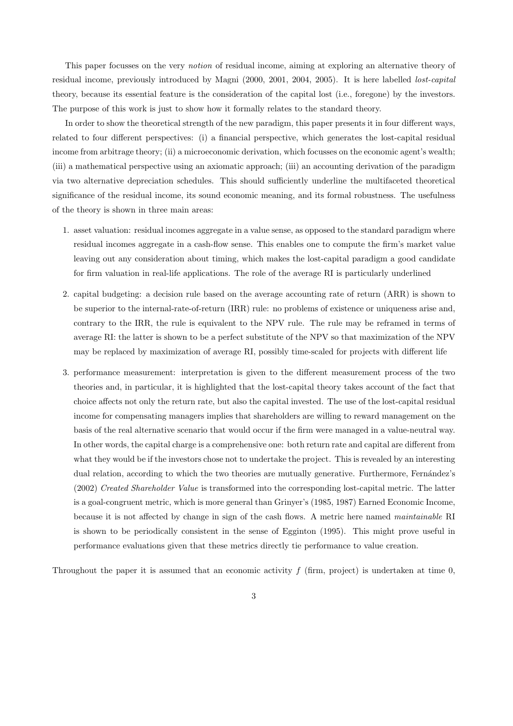This paper focusses on the very notion of residual income, aiming at exploring an alternative theory of residual income, previously introduced by Magni (2000, 2001, 2004, 2005). It is here labelled lost-capital theory, because its essential feature is the consideration of the capital lost (i.e., foregone) by the investors. The purpose of this work is just to show how it formally relates to the standard theory.

In order to show the theoretical strength of the new paradigm, this paper presents it in four different ways, related to four different perspectives: (i) a financial perspective, which generates the lost-capital residual income from arbitrage theory; (ii) a microeconomic derivation, which focusses on the economic agent's wealth; (iii) a mathematical perspective using an axiomatic approach; (iii) an accounting derivation of the paradigm via two alternative depreciation schedules. This should sufficiently underline the multifaceted theoretical significance of the residual income, its sound economic meaning, and its formal robustness. The usefulness of the theory is shown in three main areas:

- 1. asset valuation: residual incomes aggregate in a value sense, as opposed to the standard paradigm where residual incomes aggregate in a cash-flow sense. This enables one to compute the firm's market value leaving out any consideration about timing, which makes the lost-capital paradigm a good candidate for firm valuation in real-life applications. The role of the average RI is particularly underlined
- 2. capital budgeting: a decision rule based on the average accounting rate of return (ARR) is shown to be superior to the internal-rate-of-return (IRR) rule: no problems of existence or uniqueness arise and, contrary to the IRR, the rule is equivalent to the NPV rule. The rule may be reframed in terms of average RI: the latter is shown to be a perfect substitute of the NPV so that maximization of the NPV may be replaced by maximization of average RI, possibly time-scaled for projects with different life
- 3. performance measurement: interpretation is given to the different measurement process of the two theories and, in particular, it is highlighted that the lost-capital theory takes account of the fact that choice affects not only the return rate, but also the capital invested. The use of the lost-capital residual income for compensating managers implies that shareholders are willing to reward management on the basis of the real alternative scenario that would occur if the firm were managed in a value-neutral way. In other words, the capital charge is a comprehensive one: both return rate and capital are different from what they would be if the investors chose not to undertake the project. This is revealed by an interesting dual relation, according to which the two theories are mutually generative. Furthermore, Fernández's (2002) Created Shareholder Value is transformed into the corresponding lost-capital metric. The latter is a goal-congruent metric, which is more general than Grinyer's (1985, 1987) Earned Economic Income, because it is not affected by change in sign of the cash flows. A metric here named maintainable RI is shown to be periodically consistent in the sense of Egginton (1995). This might prove useful in performance evaluations given that these metrics directly tie performance to value creation.

Throughout the paper it is assumed that an economic activity  $f$  (firm, project) is undertaken at time 0,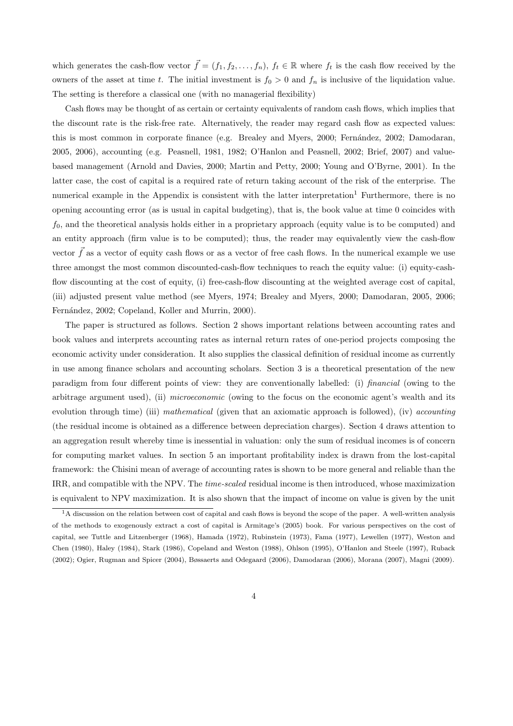which generates the cash-flow vector  $\vec{f} = (f_1, f_2, \ldots, f_n)$ ,  $f_t \in \mathbb{R}$  where  $f_t$  is the cash flow received by the owners of the asset at time t. The initial investment is  $f_0 > 0$  and  $f_n$  is inclusive of the liquidation value. The setting is therefore a classical one (with no managerial flexibility)

Cash flows may be thought of as certain or certainty equivalents of random cash flows, which implies that the discount rate is the risk-free rate. Alternatively, the reader may regard cash flow as expected values: this is most common in corporate finance (e.g. Brealey and Myers, 2000; Fernández, 2002; Damodaran, 2005, 2006), accounting (e.g. Peasnell, 1981, 1982; O'Hanlon and Peasnell, 2002; Brief, 2007) and valuebased management (Arnold and Davies, 2000; Martin and Petty, 2000; Young and O'Byrne, 2001). In the latter case, the cost of capital is a required rate of return taking account of the risk of the enterprise. The numerical example in the Appendix is consistent with the latter interpretation<sup>1</sup> Furthermore, there is no opening accounting error (as is usual in capital budgeting), that is, the book value at time 0 coincides with  $f_0$ , and the theoretical analysis holds either in a proprietary approach (equity value is to be computed) and an entity approach (firm value is to be computed); thus, the reader may equivalently view the cash-flow vector  $\vec{f}$  as a vector of equity cash flows or as a vector of free cash flows. In the numerical example we use three amongst the most common discounted-cash-flow techniques to reach the equity value: (i) equity-cashflow discounting at the cost of equity, (i) free-cash-flow discounting at the weighted average cost of capital, (iii) adjusted present value method (see Myers, 1974; Brealey and Myers, 2000; Damodaran, 2005, 2006; Fernández, 2002; Copeland, Koller and Murrin, 2000).

The paper is structured as follows. Section 2 shows important relations between accounting rates and book values and interprets accounting rates as internal return rates of one-period projects composing the economic activity under consideration. It also supplies the classical definition of residual income as currently in use among finance scholars and accounting scholars. Section 3 is a theoretical presentation of the new paradigm from four different points of view: they are conventionally labelled: (i) financial (owing to the arbitrage argument used), (ii) microeconomic (owing to the focus on the economic agent's wealth and its evolution through time) (iii) mathematical (given that an axiomatic approach is followed), (iv) accounting (the residual income is obtained as a difference between depreciation charges). Section 4 draws attention to an aggregation result whereby time is inessential in valuation: only the sum of residual incomes is of concern for computing market values. In section 5 an important profitability index is drawn from the lost-capital framework: the Chisini mean of average of accounting rates is shown to be more general and reliable than the IRR, and compatible with the NPV. The time-scaled residual income is then introduced, whose maximization is equivalent to NPV maximization. It is also shown that the impact of income on value is given by the unit

<sup>&</sup>lt;sup>1</sup>A discussion on the relation between cost of capital and cash flows is beyond the scope of the paper. A well-written analysis of the methods to exogenously extract a cost of capital is Armitage's (2005) book. For various perspectives on the cost of capital, see Tuttle and Litzenberger (1968), Hamada (1972), Rubinstein (1973), Fama (1977), Lewellen (1977), Weston and Chen (1980), Haley (1984), Stark (1986), Copeland and Weston (1988), Ohlson (1995), O'Hanlon and Steele (1997), Ruback (2002); Ogier, Rugman and Spicer (2004), Bøssaerts and Odegaard (2006), Damodaran (2006), Morana (2007), Magni (2009).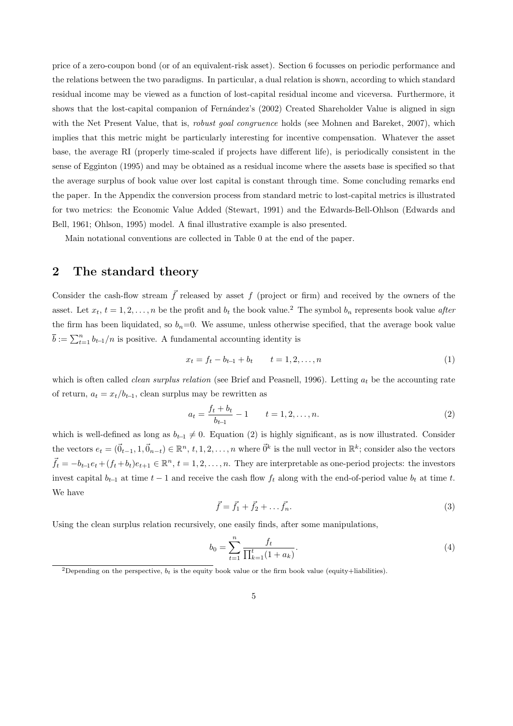price of a zero-coupon bond (or of an equivalent-risk asset). Section 6 focusses on periodic performance and the relations between the two paradigms. In particular, a dual relation is shown, according to which standard residual income may be viewed as a function of lost-capital residual income and viceversa. Furthermore, it shows that the lost-capital companion of Fernández's (2002) Created Shareholder Value is aligned in sign with the Net Present Value, that is, *robust goal congruence* holds (see Mohnen and Bareket, 2007), which implies that this metric might be particularly interesting for incentive compensation. Whatever the asset base, the average RI (properly time-scaled if projects have different life), is periodically consistent in the sense of Egginton (1995) and may be obtained as a residual income where the assets base is specified so that the average surplus of book value over lost capital is constant through time. Some concluding remarks end the paper. In the Appendix the conversion process from standard metric to lost-capital metrics is illustrated for two metrics: the Economic Value Added (Stewart, 1991) and the Edwards-Bell-Ohlson (Edwards and Bell, 1961; Ohlson, 1995) model. A final illustrative example is also presented.

Main notational conventions are collected in Table 0 at the end of the paper.

## 2 The standard theory

Consider the cash-flow stream  $\vec{f}$  released by asset f (project or firm) and received by the owners of the asset. Let  $x_t$ ,  $t = 1, 2, \ldots, n$  be the profit and  $b_t$  the book value.<sup>2</sup> The symbol  $b_n$  represents book value after the firm has been liquidated, so  $b_n=0$ . We assume, unless otherwise specified, that the average book value  $\overline{b} := \sum_{t=1}^{n} b_{t-1}/n$  is positive. A fundamental accounting identity is

$$
x_t = f_t - b_{t-1} + b_t \qquad t = 1, 2, \dots, n
$$
\n<sup>(1)</sup>

which is often called *clean surplus relation* (see Brief and Peasnell, 1996). Letting  $a_t$  be the accounting rate of return,  $a_t = x_t/b_{t-1}$ , clean surplus may be rewritten as

$$
a_t = \frac{f_t + b_t}{b_{t-1}} - 1 \qquad t = 1, 2, \dots, n. \tag{2}
$$

which is well-defined as long as  $b_{t-1} \neq 0$ . Equation (2) is highly significant, as is now illustrated. Consider the vectors  $e_t = (\vec{0}_{t-1}, 1, \vec{0}_{n-t}) \in \mathbb{R}^n$ ,  $t, 1, 2, \ldots, n$  where  $\vec{0}^k$  is the null vector in  $\mathbb{R}^k$ ; consider also the vectors  $\vec{f}_t = -b_{t-1}e_t + (f_t + b_t)e_{t+1} \in \mathbb{R}^n$ ,  $t = 1, 2, \ldots, n$ . They are interpretable as one-period projects: the investors invest capital  $b_{t-1}$  at time  $t-1$  and receive the cash flow  $f_t$  along with the end-of-period value  $b_t$  at time  $t$ . We have

$$
\vec{f} = \vec{f}_1 + \vec{f}_2 + \dots + \vec{f}_n.
$$
 (3)

Using the clean surplus relation recursively, one easily finds, after some manipulations,

$$
b_0 = \sum_{t=1}^n \frac{f_t}{\prod_{k=1}^t (1 + a_k)}.
$$
\n(4)

<sup>&</sup>lt;sup>2</sup>Depending on the perspective,  $b_t$  is the equity book value or the firm book value (equity+liabilities).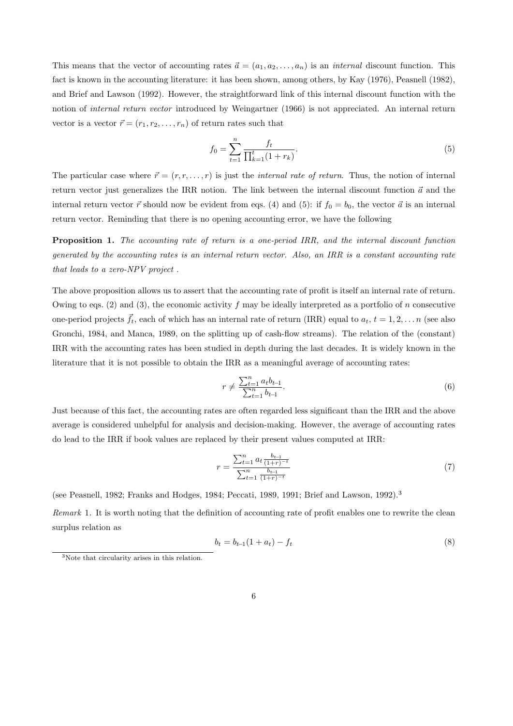This means that the vector of accounting rates  $\vec{a} = (a_1, a_2, \ldots, a_n)$  is an *internal* discount function. This fact is known in the accounting literature: it has been shown, among others, by Kay (1976), Peasnell (1982), and Brief and Lawson (1992). However, the straightforward link of this internal discount function with the notion of internal return vector introduced by Weingartner (1966) is not appreciated. An internal return vector is a vector  $\vec{r} = (r_1, r_2, \dots, r_n)$  of return rates such that

$$
f_0 = \sum_{t=1}^n \frac{f_t}{\prod_{k=1}^t (1+r_k)}.
$$
\n(5)

The particular case where  $\vec{r} = (r, r, \dots, r)$  is just the *internal rate of return*. Thus, the notion of internal return vector just generalizes the IRR notion. The link between the internal discount function  $\vec{a}$  and the internal return vector  $\vec{r}$  should now be evident from eqs. (4) and (5): if  $f_0 = b_0$ , the vector  $\vec{a}$  is an internal return vector. Reminding that there is no opening accounting error, we have the following

Proposition 1. The accounting rate of return is a one-period IRR, and the internal discount function generated by the accounting rates is an internal return vector. Also, an IRR is a constant accounting rate that leads to a zero-NPV project .

The above proposition allows us to assert that the accounting rate of profit is itself an internal rate of return. Owing to eqs. (2) and (3), the economic activity f may be ideally interpreted as a portfolio of n consecutive one-period projects  $\vec{f}_t$ , each of which has an internal rate of return (IRR) equal to  $a_t$ ,  $t = 1, 2, \ldots n$  (see also Gronchi, 1984, and Manca, 1989, on the splitting up of cash-flow streams). The relation of the (constant) IRR with the accounting rates has been studied in depth during the last decades. It is widely known in the literature that it is not possible to obtain the IRR as a meaningful average of accounting rates:

$$
r \neq \frac{\sum_{t=1}^{n} a_t b_{t-1}}{\sum_{t=1}^{n} b_{t-1}}.\tag{6}
$$

Just because of this fact, the accounting rates are often regarded less significant than the IRR and the above average is considered unhelpful for analysis and decision-making. However, the average of accounting rates do lead to the IRR if book values are replaced by their present values computed at IRR:

$$
r = \frac{\sum_{t=1}^{n} a_t \frac{b_{t-1}}{(1+r)^{-t}}}{\sum_{t=1}^{n} \frac{b_{t-1}}{(1+r)^{-t}}} \tag{7}
$$

(see Peasnell, 1982; Franks and Hodges, 1984; Peccati, 1989, 1991; Brief and Lawson, 1992).<sup>3</sup>

Remark 1. It is worth noting that the definition of accounting rate of profit enables one to rewrite the clean surplus relation as

$$
b_t = b_{t-1}(1 + a_t) - f_t \tag{8}
$$

<sup>3</sup>Note that circularity arises in this relation.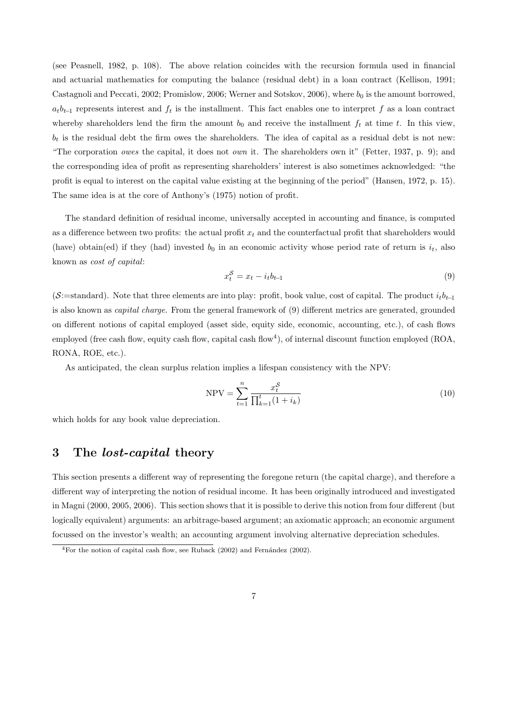(see Peasnell, 1982, p. 108). The above relation coincides with the recursion formula used in financial and actuarial mathematics for computing the balance (residual debt) in a loan contract (Kellison, 1991; Castagnoli and Peccati, 2002; Promislow, 2006; Werner and Sotskov, 2006), where  $b_0$  is the amount borrowed,  $a_t b_{t-1}$  represents interest and  $f_t$  is the installment. This fact enables one to interpret f as a loan contract whereby shareholders lend the firm the amount  $b_0$  and receive the installment  $f_t$  at time t. In this view,  $b_t$  is the residual debt the firm owes the shareholders. The idea of capital as a residual debt is not new: "The corporation owes the capital, it does not own it. The shareholders own it" (Fetter, 1937, p. 9); and the corresponding idea of profit as representing shareholders' interest is also sometimes acknowledged: "the profit is equal to interest on the capital value existing at the beginning of the period" (Hansen, 1972, p. 15). The same idea is at the core of Anthony's (1975) notion of profit.

The standard definition of residual income, universally accepted in accounting and finance, is computed as a difference between two profits: the actual profit  $x_t$  and the counterfactual profit that shareholders would (have) obtain(ed) if they (had) invested  $b_0$  in an economic activity whose period rate of return is  $i_t$ , also known as cost of capital:

$$
x_t^{\mathcal{S}} = x_t - i_t b_{t-1} \tag{9}
$$

(S:=standard). Note that three elements are into play: profit, book value, cost of capital. The product  $i_t b_{t-1}$ is also known as capital charge. From the general framework of (9) different metrics are generated, grounded on different notions of capital employed (asset side, equity side, economic, accounting, etc.), of cash flows employed (free cash flow, equity cash flow, capital cash flow<sup>4</sup>), of internal discount function employed (ROA, RONA, ROE, etc.).

As anticipated, the clean surplus relation implies a lifespan consistency with the NPV:

$$
NPV = \sum_{t=1}^{n} \frac{x_t^S}{\prod_{k=1}^{t} (1 + i_k)}
$$
(10)

which holds for any book value depreciation.

## 3 The *lost-capital* theory

This section presents a different way of representing the foregone return (the capital charge), and therefore a different way of interpreting the notion of residual income. It has been originally introduced and investigated in Magni (2000, 2005, 2006). This section shows that it is possible to derive this notion from four different (but logically equivalent) arguments: an arbitrage-based argument; an axiomatic approach; an economic argument focussed on the investor's wealth; an accounting argument involving alternative depreciation schedules.

 ${}^{4}$ For the notion of capital cash flow, see Ruback (2002) and Fernández (2002).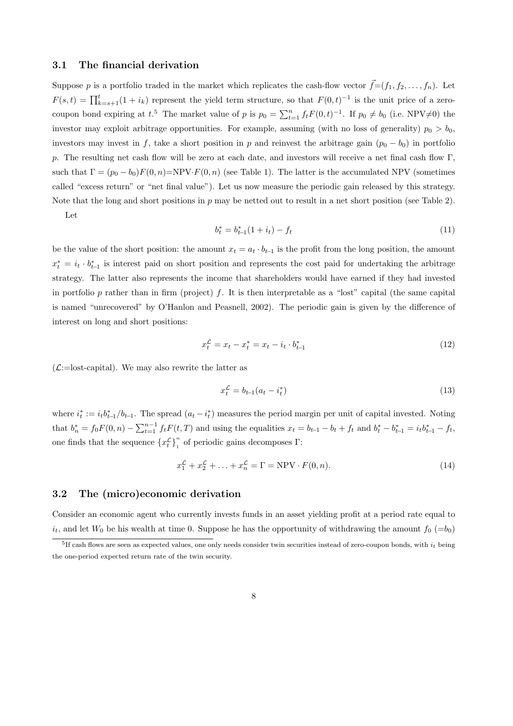#### 3.1 The financial derivation

Suppose p is a portfolio traded in the market which replicates the cash-flow vector  $\vec{f}=(f_1, f_2, \ldots, f_n)$ . Let  $F(s,t) = \prod_{k=s+1}^{t} (1+i_k)$  represent the yield term structure, so that  $F(0,t)^{-1}$  is the unit price of a zerocoupon bond expiring at  $t^5$ . The market value of p is  $p_0 = \sum_{t=1}^n f_t F(0, t)^{-1}$ . If  $p_0 \neq b_0$  (i.e. NPV $\neq 0$ ) the investor may exploit arbitrage opportunities. For example, assuming (with no loss of generality)  $p_0 > b_0$ , investors may invest in f, take a short position in p and reinvest the arbitrage gain  $(p_0 - b_0)$  in portfolio p. The resulting net cash flow will be zero at each date, and investors will receive a net final cash flow Γ, such that  $\Gamma = (p_0 - b_0)F(0, n)$ =NPV· $F(0, n)$  (see Table 1). The latter is the accumulated NPV (sometimes called "excess return" or "net final value"). Let us now measure the periodic gain released by this strategy. Note that the long and short positions in  $p$  may be netted out to result in a net short position (see Table 2).

Let

$$
b_t^* = b_{t-1}^*(1 + i_t) - f_t \tag{11}
$$

be the value of the short position: the amount  $x_t = a_t \cdot b_{t-1}$  is the profit from the long position, the amount  $x_t^* = i_t \cdot b_{t-1}^*$  is interest paid on short position and represents the cost paid for undertaking the arbitrage strategy. The latter also represents the income that shareholders would have earned if they had invested in portfolio p rather than in firm (project) f. It is then interpretable as a "lost" capital (the same capital is named "unrecovered" by O'Hanlon and Peasnell, 2002). The periodic gain is given by the difference of interest on long and short positions:

$$
x_t^{\mathcal{L}} = x_t - x_t^* = x_t - i_t \cdot b_{t-1}^* \tag{12}
$$

 $(\mathcal{L}:=$ lost-capital). We may also rewrite the latter as

$$
x_t^{\mathcal{L}} = b_{t-1}(a_t - i_t^*)
$$
\n(13)

where  $i_t^* := i_t b_{t-1}^* / b_{t-1}$ . The spread  $(a_t - i_t^*)$  measures the period margin per unit of capital invested. Noting that  $b_n^* = f_0 F(0, n) - \sum_{t=1}^{n-1} f_t F(t, T)$  and using the equalities  $x_t = b_{t-1} - b_t + f_t$  and  $b_t^* - b_{t-1}^* = i_t b_{t-1}^* - f_t$ , one finds that the sequence  $\{x_t^{\mathcal{L}}\}_1^n$  $\int_{1}^{\pi}$  of periodic gains decomposes  $\Gamma$ :

$$
x_1^{\mathcal{L}} + x_2^{\mathcal{L}} + \ldots + x_n^{\mathcal{L}} = \Gamma = \text{NPV} \cdot F(0, n). \tag{14}
$$

#### 3.2 The (micro)economic derivation

Consider an economic agent who currently invests funds in an asset yielding profit at a period rate equal to  $i_t$ , and let  $W_0$  be his wealth at time 0. Suppose he has the opportunity of withdrawing the amount  $f_0$  (=b<sub>0</sub>)

 ${}^{5}$ If cash flows are seen as expected values, one only needs consider twin securities instead of zero-coupon bonds, with  $i_t$  being the one-period expected return rate of the twin security.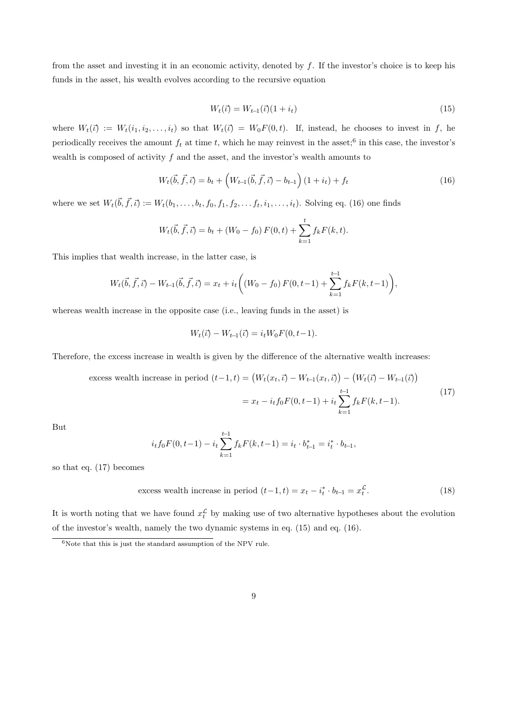from the asset and investing it in an economic activity, denoted by f. If the investor's choice is to keep his funds in the asset, his wealth evolves according to the recursive equation

$$
W_t(\vec{\iota}) = W_{t-1}(\vec{\iota})(1 + i_t) \tag{15}
$$

where  $W_t(\vec{v}) := W_t(i_1, i_2, \ldots, i_t)$  so that  $W_t(\vec{v}) = W_0F(0, t)$ . If, instead, he chooses to invest in f, he periodically receives the amount  $f_t$  at time t, which he may reinvest in the asset;<sup>6</sup> in this case, the investor's wealth is composed of activity f and the asset, and the investor's wealth amounts to

$$
W_t(\vec{b}, \vec{f}, \vec{\iota}) = b_t + \left(W_{t-1}(\vec{b}, \vec{f}, \vec{\iota}) - b_{t-1}\right)(1 + i_t) + f_t \tag{16}
$$

where we set  $W_t(\vec{b}, \vec{f}, \vec{\iota}) := W_t(b_1, \ldots, b_t, f_0, f_1, f_2, \ldots, f_t, i_1, \ldots, i_t)$ . Solving eq. (16) one finds

$$
W_t(\vec{b}, \vec{f}, \vec{c}) = b_t + (W_0 - f_0) F(0, t) + \sum_{k=1}^t f_k F(k, t).
$$

This implies that wealth increase, in the latter case, is

$$
W_t(\vec{b}, \vec{f}, \vec{\iota}) - W_{t-1}(\vec{b}, \vec{f}, \vec{\iota}) = x_t + i_t \bigg( (W_0 - f_0) F(0, t-1) + \sum_{k=1}^{t-1} f_k F(k, t-1) \bigg),
$$

whereas wealth increase in the opposite case (i.e., leaving funds in the asset) is

$$
W_t(\vec{\iota}) - W_{t-1}(\vec{\iota}) = i_t W_0 F(0, t-1).
$$

Therefore, the excess increase in wealth is given by the difference of the alternative wealth increases:

excess wealth increase in period 
$$
(t-1, t) = (W_t(x_t, \vec{t}) - W_{t-1}(x_t, \vec{t})) - (W_t(\vec{t}) - W_{t-1}(\vec{t}))
$$
  

$$
= x_t - i_t f_0 F(0, t-1) + i_t \sum_{k=1}^{t-1} f_k F(k, t-1).
$$
 (17)

But

$$
i_t f_0 F(0, t-1) - i_t \sum_{k=1}^{t-1} f_k F(k, t-1) = i_t \cdot b_{t-1}^* = i_t^* \cdot b_{t-1},
$$

so that eq. (17) becomes

excess wealth increase in period 
$$
(t-1, t) = x_t - i_t^* \cdot b_{t-1} = x_t^{\mathcal{L}}
$$
. (18)

It is worth noting that we have found  $x_t^{\mathcal{L}}$  by making use of two alternative hypotheses about the evolution of the investor's wealth, namely the two dynamic systems in eq. (15) and eq. (16).

 $6$ Note that this is just the standard assumption of the NPV rule.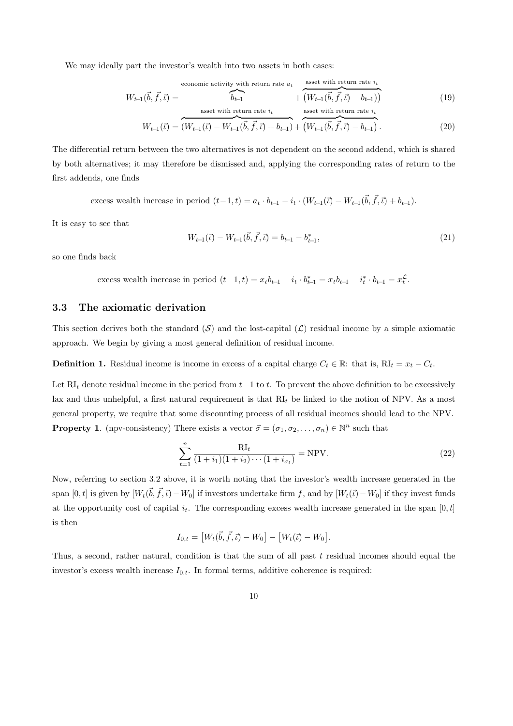We may ideally part the investor's wealth into two assets in both cases:

$$
W_{t-1}(\vec{b}, \vec{f}, \vec{\iota}) = \underbrace{\overbrace{\phantom{h_{t-1}}\limits_{\text{assert with return rate } i_t}}^{\text{economic activity with return rate } a_t} + \underbrace{\overbrace{\phantom{h_{t-1}}\limits_{\text{assert with return rate } i_t}}^{\text{asset with return rate } i_t} + \underbrace{\overbrace{\phantom{h_{t-1}}\limits_{\text{assert with return rate } i_t}}^{\text{asset with return rate } i_t}}_{\text{asset with return rate } i_t} \tag{19}
$$
\n
$$
W_{t-1}(\vec{b}, \vec{f}, \vec{\iota}) = \underbrace{\overbrace{\phantom{h_{t-1}}\limits_{\text{assert}}\limits_{\text{in time } i_t}}^{\text{asset with return rate } i_t} + \underbrace{\overbrace{\phantom{h_{t-1}}\limits_{\text{assert with return rate } i_t}}^{\text{asset with return rate } i_t}}_{\text{insert time } i_t} \tag{19}
$$

The differential return between the two alternatives is not dependent on the second addend, which is shared by both alternatives; it may therefore be dismissed and, applying the corresponding rates of return to the first addends, one finds

excess wealth increase in period  $(t-1,t) = a_t \cdot b_{t-1} - i_t \cdot (W_{t-1}(\vec{t}) - W_{t-1}(\vec{b}, \vec{f}, \vec{t}) + b_{t-1}).$ 

It is easy to see that

$$
W_{t-1}(\vec{\iota}) - W_{t-1}(\vec{b}, \vec{f}, \vec{\iota}) = b_{t-1} - b_{t-1}^*,
$$
\n(21)

so one finds back

excess wealth increase in period  $(t-1,t) = x_t b_{t-1} - i_t \cdot b_{t-1}^* = x_t b_{t-1} - i_t^* \cdot b_{t-1} = x_t^{\mathcal{L}}.$ 

## 3.3 The axiomatic derivation

This section derives both the standard  $(S)$  and the lost-capital  $(C)$  residual income by a simple axiomatic approach. We begin by giving a most general definition of residual income.

**Definition 1.** Residual income is income in excess of a capital charge  $C_t \in \mathbb{R}$ : that is,  $RI_t = x_t - C_t$ .

Let RI<sub>t</sub> denote residual income in the period from  $t-1$  to t. To prevent the above definition to be excessively lax and thus unhelpful, a first natural requirement is that  $RI_t$  be linked to the notion of NPV. As a most general property, we require that some discounting process of all residual incomes should lead to the NPV. **Property 1.** (npv-consistency) There exists a vector  $\vec{\sigma} = (\sigma_1, \sigma_2, \dots, \sigma_n) \in \mathbb{N}^n$  such that

$$
\sum_{t=1}^{n} \frac{R I_t}{(1+i_1)(1+i_2)\cdots(1+i_{\sigma_t})} = NPV.
$$
\n(22)

Now, referring to section 3.2 above, it is worth noting that the investor's wealth increase generated in the span  $[0, t]$  is given by  $[W_t(\vec{b}, \vec{f}, \vec{\iota}) - W_0]$  if investors undertake firm f, and by  $[W_t(\vec{\iota}) - W_0]$  if they invest funds at the opportunity cost of capital  $i_t$ . The corresponding excess wealth increase generated in the span [0, t] is then

$$
I_{0,t} = [W_t(\vec{b}, \vec{f}, \vec{c}) - W_0] - [W_t(\vec{c}) - W_0].
$$

Thus, a second, rather natural, condition is that the sum of all past  $t$  residual incomes should equal the investor's excess wealth increase  $I_{0,t}$ . In formal terms, additive coherence is required: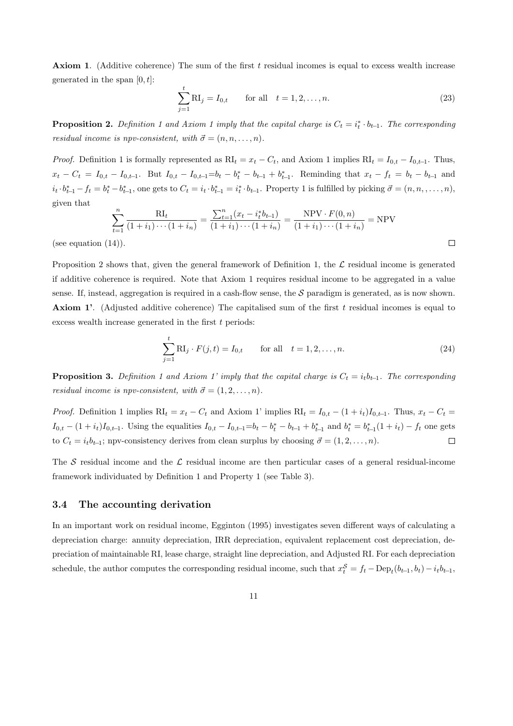**Axiom 1.** (Additive coherence) The sum of the first  $t$  residual incomes is equal to excess wealth increase generated in the span  $[0, t]$ :

$$
\sum_{j=1}^{t} \mathbf{R} \mathbf{I}_{j} = I_{0,t} \quad \text{for all} \quad t = 1, 2, ..., n. \tag{23}
$$

**Proposition 2.** Definition 1 and Axiom 1 imply that the capital charge is  $C_t = i_t^* \cdot b_{t-1}$ . The corresponding residual income is npv-consistent, with  $\vec{\sigma} = (n, n, \ldots, n)$ .

*Proof.* Definition 1 is formally represented as  $RI_t = x_t - C_t$ , and Axiom 1 implies  $RI_t = I_{0,t} - I_{0,t-1}$ . Thus,  $x_t - C_t = I_{0,t} - I_{0,t-1}$ . But  $I_{0,t} - I_{0,t-1} = b_t - b_t^* - b_{t-1} + b_{t-1}^*$ . Reminding that  $x_t - f_t = b_t - b_{t-1}$  and  $i_t \cdot b_{t-1}^* - f_t = b_t^* - b_{t-1}^*$ , one gets to  $C_t = i_t \cdot b_{t-1}^* = i_t^* \cdot b_{t-1}$ . Property 1 is fulfilled by picking  $\vec{\sigma} = (n, n, \ldots, n)$ , given that

$$
\sum_{t=1}^{n} \frac{RI_t}{(1+i_1)\cdots(1+i_n)} = \frac{\sum_{t=1}^{n} (x_t - i_t^* b_{t-1})}{(1+i_1)\cdots(1+i_n)} = \frac{NPV \cdot F(0, n)}{(1+i_1)\cdots(1+i_n)} = NPV
$$
\n(14)

(see equation  $(14)$ ).

Proposition 2 shows that, given the general framework of Definition 1, the  $\mathcal L$  residual income is generated if additive coherence is required. Note that Axiom 1 requires residual income to be aggregated in a value sense. If, instead, aggregation is required in a cash-flow sense, the S paradigm is generated, as is now shown. **Axiom 1'.** (Adjusted additive coherence) The capitalised sum of the first  $t$  residual incomes is equal to excess wealth increase generated in the first  $t$  periods:

$$
\sum_{j=1}^{t} \mathbf{R} \mathbf{I}_{j} \cdot F(j, t) = I_{0, t} \quad \text{for all} \quad t = 1, 2, \dots, n. \tag{24}
$$

**Proposition 3.** Definition 1 and Axiom 1' imply that the capital charge is  $C_t = i_t b_{t-1}$ . The corresponding residual income is npv-consistent, with  $\vec{\sigma} = (1, 2, \ldots, n)$ .

*Proof.* Definition 1 implies  $RI_t = x_t - C_t$  and Axiom 1' implies  $RI_t = I_{0,t} - (1 + i_t)I_{0,t-1}$ . Thus,  $x_t - C_t =$  $I_{0,t} - (1 + i_t)I_{0,t-1}$ . Using the equalities  $I_{0,t} - I_{0,t-1} = b_t - b_t^* - b_{t-1} + b_{t-1}^*$  and  $b_t^* = b_{t-1}^* (1 + i_t) - f_t$  one gets to  $C_t = i_t b_{t-1}$ ; npv-consistency derives from clean surplus by choosing  $\vec{\sigma} = (1, 2, \ldots, n)$ .  $\Box$ 

The S residual income and the  $\mathcal L$  residual income are then particular cases of a general residual-income framework individuated by Definition 1 and Property 1 (see Table 3).

## 3.4 The accounting derivation

In an important work on residual income, Egginton (1995) investigates seven different ways of calculating a depreciation charge: annuity depreciation, IRR depreciation, equivalent replacement cost depreciation, depreciation of maintainable RI, lease charge, straight line depreciation, and Adjusted RI. For each depreciation schedule, the author computes the corresponding residual income, such that  $x_t^{\mathcal{S}} = f_t - \text{Dep}_t(b_{t-1}, b_t) - i_t b_{t-1}$ ,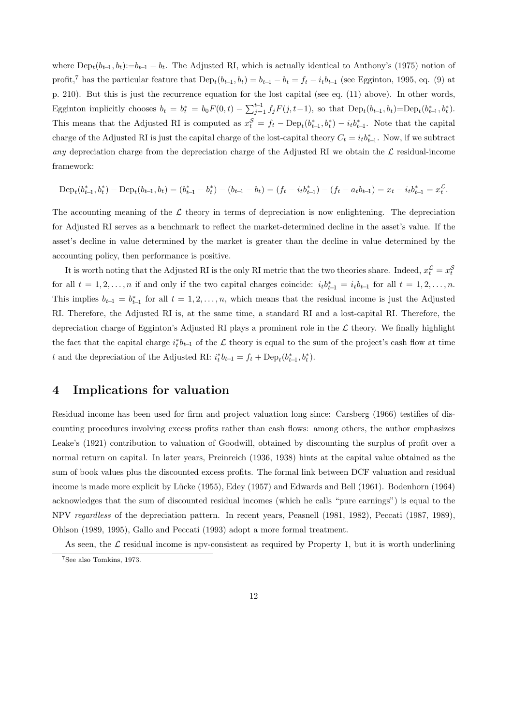where  $\text{Dep}_t(b_{t-1}, b_t):=b_{t-1}-b_t$ . The Adjusted RI, which is actually identical to Anthony's (1975) notion of profit,<sup>7</sup> has the particular feature that  $\text{Dep}_t(b_{t-1}, b_t) = b_{t-1} - b_t = f_t - i_t b_{t-1}$  (see Egginton, 1995, eq. (9) at p. 210). But this is just the recurrence equation for the lost capital (see eq. (11) above). In other words, Egginton implicitly chooses  $b_t = b_t^* = b_0 F(0, t) - \sum_{j=1}^{t-1} f_j F(j, t-1)$ , so that  $\text{Dep}_t(b_{t-1}, b_t) = \text{Dep}_t(b_{t-1}^*, b_t^*)$ . This means that the Adjusted RI is computed as  $x_t^{\mathcal{S}} = f_t - \text{Dep}_t(b_{t-1}^*, b_t^*) - i_t b_{t-1}^*$ . Note that the capital charge of the Adjusted RI is just the capital charge of the lost-capital theory  $C_t = i_t b_{t-1}^*$ . Now, if we subtract any depreciation charge from the depreciation charge of the Adjusted RI we obtain the  $\mathcal L$  residual-income framework:

$$
\text{Dep}_t(b_{t-1}^*, b_t^*) - \text{Dep}_t(b_{t-1}, b_t) = (b_{t-1}^* - b_t^*) - (b_{t-1} - b_t) = (f_t - i_t b_{t-1}^*) - (f_t - a_t b_{t-1}) = x_t - i_t b_{t-1}^* = x_t^2.
$$

The accounting meaning of the  $\mathcal L$  theory in terms of depreciation is now enlightening. The depreciation for Adjusted RI serves as a benchmark to reflect the market-determined decline in the asset's value. If the asset's decline in value determined by the market is greater than the decline in value determined by the accounting policy, then performance is positive.

It is worth noting that the Adjusted RI is the only RI metric that the two theories share. Indeed,  $x_t^{\mathcal{L}} = x_t^{\mathcal{S}}$ for all  $t = 1, 2, \ldots, n$  if and only if the two capital charges coincide:  $i_t b_{t-1}^* = i_t b_{t-1}$  for all  $t = 1, 2, \ldots, n$ . This implies  $b_{t-1} = b_{t-1}^*$  for all  $t = 1, 2, \ldots, n$ , which means that the residual income is just the Adjusted RI. Therefore, the Adjusted RI is, at the same time, a standard RI and a lost-capital RI. Therefore, the depreciation charge of Egginton's Adjusted RI plays a prominent role in the  $\mathcal L$  theory. We finally highlight the fact that the capital charge  $i_t^* b_{t-1}$  of the L theory is equal to the sum of the project's cash flow at time t and the depreciation of the Adjusted RI:  $i_t^* b_{t-1} = f_t + \text{Dep}_t(b_{t-1}^*, b_t^*)$ .

## 4 Implications for valuation

Residual income has been used for firm and project valuation long since: Carsberg (1966) testifies of discounting procedures involving excess profits rather than cash flows: among others, the author emphasizes Leake's (1921) contribution to valuation of Goodwill, obtained by discounting the surplus of profit over a normal return on capital. In later years, Preinreich (1936, 1938) hints at the capital value obtained as the sum of book values plus the discounted excess profits. The formal link between DCF valuation and residual income is made more explicit by Lücke (1955), Edey (1957) and Edwards and Bell (1961). Bodenhorn (1964) acknowledges that the sum of discounted residual incomes (which he calls "pure earnings") is equal to the NPV regardless of the depreciation pattern. In recent years, Peasnell (1981, 1982), Peccati (1987, 1989), Ohlson (1989, 1995), Gallo and Peccati (1993) adopt a more formal treatment.

As seen, the  $\mathcal L$  residual income is npv-consistent as required by Property 1, but it is worth underlining

<sup>7</sup>See also Tomkins, 1973.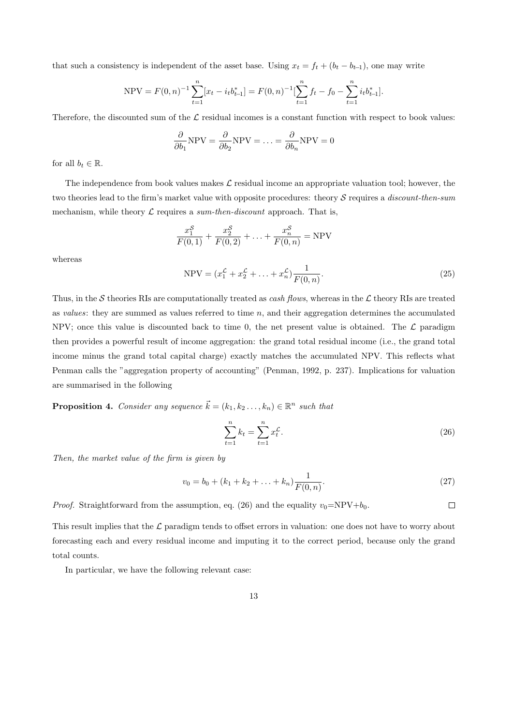that such a consistency is independent of the asset base. Using  $x_t = f_t + (b_t - b_{t-1})$ , one may write

$$
\text{NPV} = F(0, n)^{-1} \sum_{t=1}^{n} [x_t - i_t b_{t-1}^*] = F(0, n)^{-1} \left[ \sum_{t=1}^{n} f_t - f_0 - \sum_{t=1}^{n} i_t b_{t-1}^* \right].
$$

Therefore, the discounted sum of the  $\mathcal L$  residual incomes is a constant function with respect to book values:

$$
\frac{\partial}{\partial b_1} \text{NPV} = \frac{\partial}{\partial b_2} \text{NPV} = \dots = \frac{\partial}{\partial b_n} \text{NPV} = 0
$$

for all  $b_t \in \mathbb{R}$ .

The independence from book values makes  $\mathcal L$  residual income an appropriate valuation tool; however, the two theories lead to the firm's market value with opposite procedures: theory  $S$  requires a *discount-then-sum* mechanism, while theory  $\mathcal L$  requires a sum-then-discount approach. That is,

$$
\frac{x_1^S}{F(0,1)} + \frac{x_2^S}{F(0,2)} + \ldots + \frac{x_n^S}{F(0,n)} = \text{NPV}
$$

whereas

NPV = 
$$
(x_1^{\mathcal{L}} + x_2^{\mathcal{L}} + ... + x_n^{\mathcal{L}}) \frac{1}{F(0, n)}
$$
. (25)

Thus, in the S theories RIs are computationally treated as *cash flows*, whereas in the  $\mathcal L$  theory RIs are treated as values: they are summed as values referred to time  $n$ , and their aggregation determines the accumulated NPV; once this value is discounted back to time 0, the net present value is obtained. The  $\mathcal L$  paradigm then provides a powerful result of income aggregation: the grand total residual income (i.e., the grand total income minus the grand total capital charge) exactly matches the accumulated NPV. This reflects what Penman calls the "aggregation property of accounting" (Penman, 1992, p. 237). Implications for valuation are summarised in the following

**Proposition 4.** Consider any sequence  $\vec{k} = (k_1, k_2, \ldots, k_n) \in \mathbb{R}^n$  such that

$$
\sum_{t=1}^{n} k_t = \sum_{t=1}^{n} x_t^{\mathcal{L}}.
$$
\n(26)

Then, the market value of the firm is given by

$$
v_0 = b_0 + (k_1 + k_2 + \dots + k_n) \frac{1}{F(0, n)}.
$$
\n(27)

*Proof.* Straightforward from the assumption, eq. (26) and the equality  $v_0 = NPV + b_0$ .  $\Box$ 

This result implies that the  $\mathcal L$  paradigm tends to offset errors in valuation: one does not have to worry about forecasting each and every residual income and imputing it to the correct period, because only the grand total counts.

In particular, we have the following relevant case: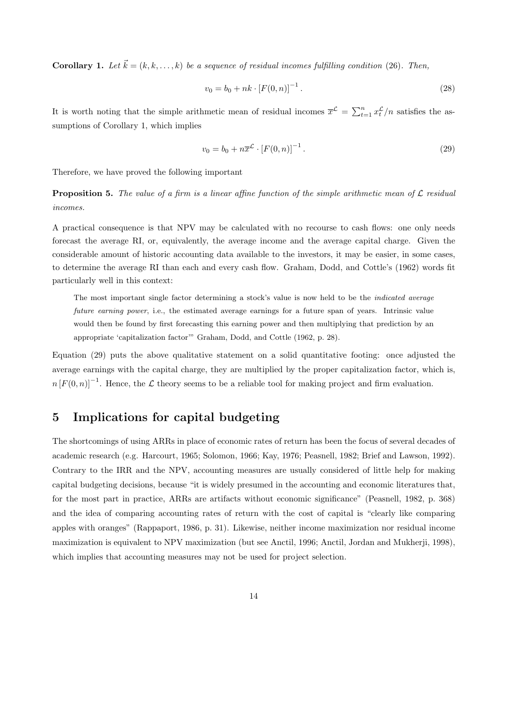**Corollary 1.** Let  $\vec{k} = (k, k, \ldots, k)$  be a sequence of residual incomes fulfilling condition (26). Then,

$$
v_0 = b_0 + nk \cdot [F(0, n)]^{-1}.
$$
\n(28)

It is worth noting that the simple arithmetic mean of residual incomes  $\bar{x}^{\mathcal{L}} = \sum_{t=1}^{n} x_t^{\mathcal{L}}/n$  satisfies the assumptions of Corollary 1, which implies

$$
v_0 = b_0 + n\overline{x}^{\mathcal{L}} \cdot [F(0, n)]^{-1}.
$$
 (29)

Therefore, we have proved the following important

**Proposition 5.** The value of a firm is a linear affine function of the simple arithmetic mean of  $\mathcal{L}$  residual incomes.

A practical consequence is that NPV may be calculated with no recourse to cash flows: one only needs forecast the average RI, or, equivalently, the average income and the average capital charge. Given the considerable amount of historic accounting data available to the investors, it may be easier, in some cases, to determine the average RI than each and every cash flow. Graham, Dodd, and Cottle's (1962) words fit particularly well in this context:

The most important single factor determining a stock's value is now held to be the *indicated average future earning power*, i.e., the estimated average earnings for a future span of years. Intrinsic value would then be found by first forecasting this earning power and then multiplying that prediction by an appropriate 'capitalization factor'" Graham, Dodd, and Cottle (1962, p. 28).

Equation (29) puts the above qualitative statement on a solid quantitative footing: once adjusted the average earnings with the capital charge, they are multiplied by the proper capitalization factor, which is,  $n [F(0, n)]^{-1}$ . Hence, the L theory seems to be a reliable tool for making project and firm evaluation.

# 5 Implications for capital budgeting

The shortcomings of using ARRs in place of economic rates of return has been the focus of several decades of academic research (e.g. Harcourt, 1965; Solomon, 1966; Kay, 1976; Peasnell, 1982; Brief and Lawson, 1992). Contrary to the IRR and the NPV, accounting measures are usually considered of little help for making capital budgeting decisions, because "it is widely presumed in the accounting and economic literatures that, for the most part in practice, ARRs are artifacts without economic significance" (Peasnell, 1982, p. 368) and the idea of comparing accounting rates of return with the cost of capital is "clearly like comparing apples with oranges" (Rappaport, 1986, p. 31). Likewise, neither income maximization nor residual income maximization is equivalent to NPV maximization (but see Anctil, 1996; Anctil, Jordan and Mukherji, 1998), which implies that accounting measures may not be used for project selection.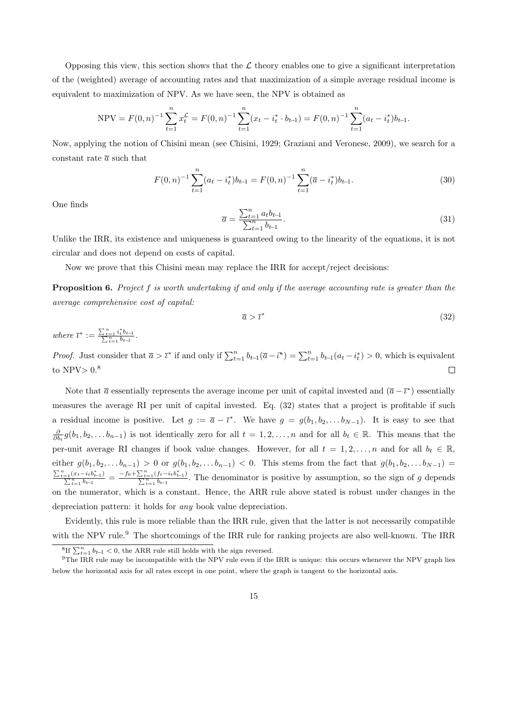Opposing this view, this section shows that the  $\mathcal L$  theory enables one to give a significant interpretation of the (weighted) average of accounting rates and that maximization of a simple average residual income is equivalent to maximization of NPV. As we have seen, the NPV is obtained as

$$
\text{NPV} = F(0, n)^{-1} \sum_{t=1}^{n} x_t^{\mathcal{L}} = F(0, n)^{-1} \sum_{t=1}^{n} (x_t - i_t^* \cdot b_{t-1}) = F(0, n)^{-1} \sum_{t=1}^{n} (a_t - i_t^*) b_{t-1}.
$$

Now, applying the notion of Chisini mean (see Chisini, 1929; Graziani and Veronese, 2009), we search for a constant rate  $\bar{a}$  such that

$$
F(0,n)^{-1} \sum_{t=1}^{n} (a_t - i_t^*) b_{t-1} = F(0,n)^{-1} \sum_{t=1}^{n} (\overline{a} - i_t^*) b_{t-1}.
$$
 (30)

One finds

$$
\overline{a} = \frac{\sum_{t=1}^{n} a_t b_{t-1}}{\sum_{t=1}^{n} b_{t-1}}.
$$
\n(31)

Unlike the IRR, its existence and uniqueness is guaranteed owing to the linearity of the equations, it is not circular and does not depend on costs of capital.

Now we prove that this Chisini mean may replace the IRR for accept/reject decisions:

Proposition 6. Project f is worth undertaking if and only if the average accounting rate is greater than the average comprehensive cost of capital:

$$
\overline{a} > \overline{\iota}^* \tag{32}
$$

where  $\bar{\iota}^* := \frac{\sum_{t=1}^n i_t^* b_{t-1}}{\sum_{t=1}^n b_{t-1}}$ .

*Proof.* Just consider that  $\overline{a} > \overline{\iota}^*$  if and only if  $\sum_{t=1}^n b_{t-1}(\overline{a}-\overline{\iota}^*) = \sum_{t=1}^n b_{t-1}(a_t - i_t^*) > 0$ , which is equivalent to  $NPV > 0.8$  $\Box$ 

Note that  $\bar{a}$  essentially represents the average income per unit of capital invested and  $(\bar{a} - \bar{\iota}^*)$  essentially measures the average RI per unit of capital invested. Eq. (32) states that a project is profitable if such a residual income is positive. Let  $g := \overline{a} - \overline{\iota}^*$ . We have  $g = g(b_1, b_2, \ldots b_{N-1})$ . It is easy to see that  $\frac{\partial}{\partial b_t} g(b_1, b_2, \ldots b_{n-1})$  is not identically zero for all  $t = 1, 2, \ldots, n$  and for all  $b_t \in \mathbb{R}$ . This means that the per-unit average RI changes if book value changes. However, for all  $t = 1, 2, ..., n$  and for all  $b_t \in \mathbb{R}$ , either  $g(b_1, b_2, \ldots b_{n-1}) > 0$  or  $g(b_1, b_2, \ldots b_{n-1}) < 0$ . This stems from the fact that  $g(b_1, b_2, \ldots b_{N-1}) =$  $\frac{\sum_{t=1}^{n}(x_t-i_t b_{t-1}^*)}{\sum_{t=1}^{n} b_{t-1}} = \frac{-f_0 + \sum_{t=1}^{n}(f_t-i_t b_{t-1}^*)}{\sum_{t=1}^{n} b_{t-1}}$ . The denominator is positive by assumption, so the sign of g depends on the numerator, which is a constant. Hence, the ARR rule above stated is robust under changes in the depreciation pattern: it holds for any book value depreciation.

Evidently, this rule is more reliable than the IRR rule, given that the latter is not necessarily compatible with the NPV rule.<sup>9</sup> The shortcomings of the IRR rule for ranking projects are also well-known. The IRR

<sup>&</sup>lt;sup>8</sup>If  $\sum_{t=1}^{n} b_{t-1} < 0$ , the ARR rule still holds with the sign reversed.

<sup>&</sup>lt;sup>9</sup>The IRR rule may be incompatible with the NPV rule even if the IRR is unique: this occurs whenever the NPV graph lies below the horizontal axis for all rates except in one point, where the graph is tangent to the horizontal axis.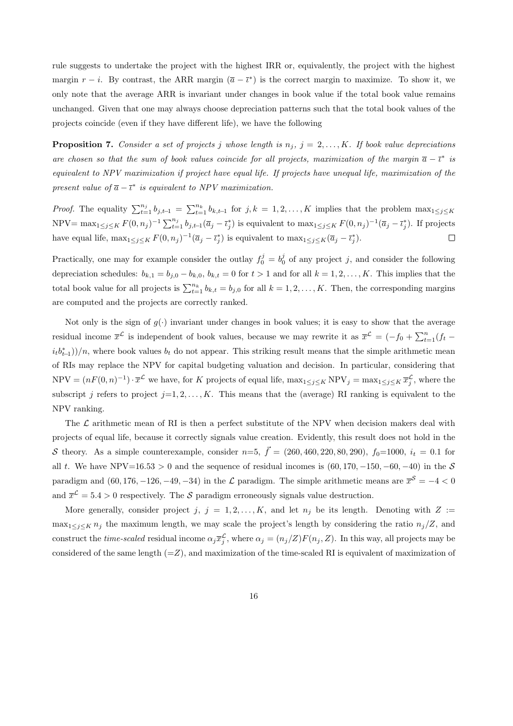rule suggests to undertake the project with the highest IRR or, equivalently, the project with the highest margin  $r - i$ . By contrast, the ARR margin  $(\bar{a} - \bar{t}^*)$  is the correct margin to maximize. To show it, we only note that the average ARR is invariant under changes in book value if the total book value remains unchanged. Given that one may always choose depreciation patterns such that the total book values of the projects coincide (even if they have different life), we have the following

**Proposition 7.** Consider a set of projects j whose length is  $n_j$ ,  $j = 2, ..., K$ . If book value depreciations are chosen so that the sum of book values coincide for all projects, maximization of the margin  $\bar{a} - \bar{\iota}^*$  is equivalent to NPV maximization if project have equal life. If projects have unequal life, maximization of the present value of  $\bar{a} - \bar{\iota}^*$  is equivalent to NPV maximization.

*Proof.* The equality  $\sum_{t=1}^{n_j} b_{j,t-1} = \sum_{t=1}^{n_k} b_{k,t-1}$  for  $j, k = 1, 2, ..., K$  implies that the problem  $\max_{1 \leq j \leq K}$  $NPV = \max_{1 \leq j \leq K} F(0, n_j)^{-1} \sum_{t=1}^{n_j} b_{j,t-1}(\overline{a}_j - \overline{t}_j^*)$  is equivalent to  $\max_{1 \leq j \leq K} F(0, n_j)^{-1}(\overline{a}_j - \overline{t}_j^*)$ . If projects have equal life,  $\max_{1 \leq j \leq K} F(0, n_j)^{-1} (\overline{a}_j - \overline{t}_j^*)$  is equivalent to  $\max_{1 \leq j \leq K} (\overline{a}_j - \overline{t}_j^*)$ .  $\Box$ 

Practically, one may for example consider the outlay  $f_0^j = b_0^j$  of any project j, and consider the following depreciation schedules:  $b_{k,1} = b_{j,0} - b_{k,0}, b_{k,t} = 0$  for  $t > 1$  and for all  $k = 1, 2, ..., K$ . This implies that the total book value for all projects is  $\sum_{t=1}^{n_k} b_{k,t} = b_{j,0}$  for all  $k = 1, 2, ..., K$ . Then, the corresponding margins are computed and the projects are correctly ranked.

Not only is the sign of  $g(\cdot)$  invariant under changes in book values; it is easy to show that the average residual income  $\bar{x}^{\mathcal{L}}$  is independent of book values, because we may rewrite it as  $\bar{x}^{\mathcal{L}} = (-f_0 + \sum_{t=1}^n (f_t (i_t b_{t-1}^*)/n$ , where book values  $b_t$  do not appear. This striking result means that the simple arithmetic mean of RIs may replace the NPV for capital budgeting valuation and decision. In particular, considering that  $NPV = (nF(0, n)^{-1}) \cdot \overline{x}^{\mathcal{L}}$  we have, for K projects of equal life,  $\max_{1 \leq j \leq K} NPV_j = \max_{1 \leq j \leq K} \overline{x}_j^{\mathcal{L}}$ , where the subscript j refers to project  $j=1, 2, ..., K$ . This means that the (average) RI ranking is equivalent to the NPV ranking.

The  $\mathcal L$  arithmetic mean of RI is then a perfect substitute of the NPV when decision makers deal with projects of equal life, because it correctly signals value creation. Evidently, this result does not hold in the S theory. As a simple counterexample, consider  $n=5, \vec{f} = (260, 460, 220, 80, 290), f_0=1000, i_t = 0.1$  for all t. We have NPV=16.53 > 0 and the sequence of residual incomes is  $(60, 170, -150, -60, -40)$  in the S paradigm and  $(60, 176, -126, -49, -34)$  in the  $\mathcal{L}$  paradigm. The simple arithmetic means are  $\overline{x}^{\mathcal{S}} = -4 < 0$ and  $\bar{x}^{\mathcal{L}} = 5.4 > 0$  respectively. The S paradigm erroneously signals value destruction.

More generally, consider project j,  $j = 1, 2, \ldots, K$ , and let  $n_j$  be its length. Denoting with  $Z :=$  $\max_{1 \leq j \leq K} n_j$  the maximum length, we may scale the project's length by considering the ratio  $n_j/Z$ , and construct the *time-scaled* residual income  $\alpha_j \overline{x}_j^{\mathcal{L}}$ , where  $\alpha_j = (n_j/Z)F(n_j, Z)$ . In this way, all projects may be considered of the same length  $(=Z)$ , and maximization of the time-scaled RI is equivalent of maximization of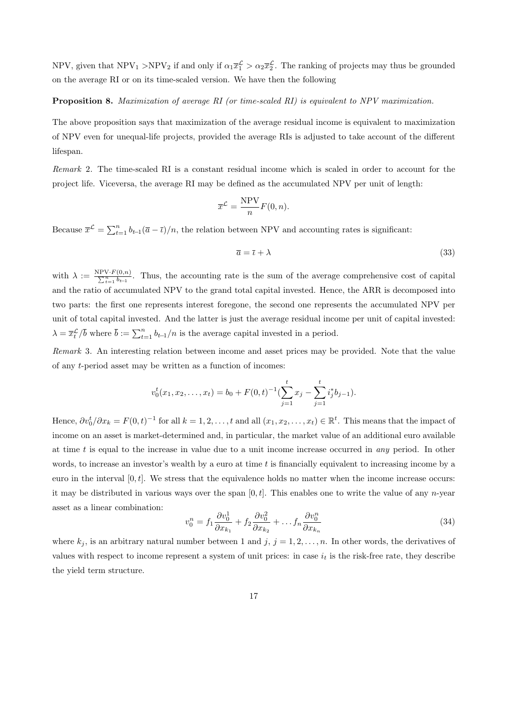NPV, given that  $NPV_1 > NPV_2$  if and only if  $\alpha_1 \bar{x}_1^{\mathcal{L}} > \alpha_2 \bar{x}_2^{\mathcal{L}}$ . The ranking of projects may thus be grounded on the average RI or on its time-scaled version. We have then the following

#### Proposition 8. Maximization of average RI (or time-scaled RI) is equivalent to NPV maximization.

The above proposition says that maximization of the average residual income is equivalent to maximization of NPV even for unequal-life projects, provided the average RIs is adjusted to take account of the different lifespan.

Remark 2. The time-scaled RI is a constant residual income which is scaled in order to account for the project life. Viceversa, the average RI may be defined as the accumulated NPV per unit of length:

$$
\overline{x}^{\mathcal{L}} = \frac{\text{NPV}}{n} F(0, n).
$$

Because  $\bar{x}^{\mathcal{L}} = \sum_{t=1}^{n} b_{t-1}(\bar{a} - \bar{t})/n$ , the relation between NPV and accounting rates is significant:

$$
\overline{a} = \overline{\iota} + \lambda \tag{33}
$$

with  $\lambda := \frac{NPV \cdot F(0,n)}{\sum_{t=1}^{n} b_{t-1}}$ . Thus, the accounting rate is the sum of the average comprehensive cost of capital and the ratio of accumulated NPV to the grand total capital invested. Hence, the ARR is decomposed into two parts: the first one represents interest foregone, the second one represents the accumulated NPV per unit of total capital invested. And the latter is just the average residual income per unit of capital invested:  $\lambda = \overline{x}_t^{\mathcal{L}}/\overline{b}$  where  $\overline{b} := \sum_{t=1}^n b_{t-1}/n$  is the average capital invested in a period.

Remark 3. An interesting relation between income and asset prices may be provided. Note that the value of any t-period asset may be written as a function of incomes:

$$
v_0^t(x_1, x_2, \dots, x_t) = b_0 + F(0, t)^{-1} \left( \sum_{j=1}^t x_j - \sum_{j=1}^t i_j^* b_{j-1} \right).
$$

Hence,  $\partial v_0^t/\partial x_k = F(0, t)^{-1}$  for all  $k = 1, 2, ..., t$  and all  $(x_1, x_2, ..., x_t) \in \mathbb{R}^t$ . This means that the impact of income on an asset is market-determined and, in particular, the market value of an additional euro available at time  $t$  is equal to the increase in value due to a unit income increase occurred in *any* period. In other words, to increase an investor's wealth by a euro at time t is financially equivalent to increasing income by a euro in the interval  $[0, t]$ . We stress that the equivalence holds no matter when the income increase occurs: it may be distributed in various ways over the span  $[0, t]$ . This enables one to write the value of any n-year asset as a linear combination:

$$
v_0^n = f_1 \frac{\partial v_0^1}{\partial x_{k_1}} + f_2 \frac{\partial v_0^2}{\partial x_{k_2}} + \dots f_n \frac{\partial v_0^n}{\partial x_{k_n}}
$$
(34)

where  $k_j$ , is an arbitrary natural number between 1 and j,  $j = 1, 2, \ldots, n$ . In other words, the derivatives of values with respect to income represent a system of unit prices: in case  $i_t$  is the risk-free rate, they describe the yield term structure.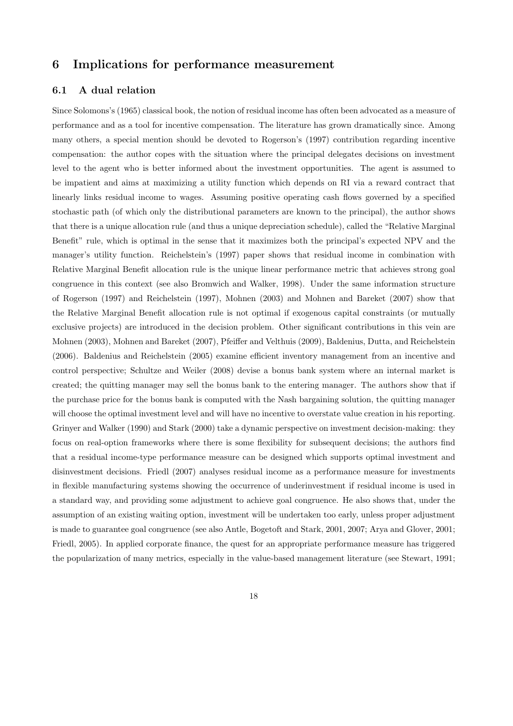# 6 Implications for performance measurement

## 6.1 A dual relation

Since Solomons's (1965) classical book, the notion of residual income has often been advocated as a measure of performance and as a tool for incentive compensation. The literature has grown dramatically since. Among many others, a special mention should be devoted to Rogerson's (1997) contribution regarding incentive compensation: the author copes with the situation where the principal delegates decisions on investment level to the agent who is better informed about the investment opportunities. The agent is assumed to be impatient and aims at maximizing a utility function which depends on RI via a reward contract that linearly links residual income to wages. Assuming positive operating cash flows governed by a specified stochastic path (of which only the distributional parameters are known to the principal), the author shows that there is a unique allocation rule (and thus a unique depreciation schedule), called the "Relative Marginal Benefit" rule, which is optimal in the sense that it maximizes both the principal's expected NPV and the manager's utility function. Reichelstein's (1997) paper shows that residual income in combination with Relative Marginal Benefit allocation rule is the unique linear performance metric that achieves strong goal congruence in this context (see also Bromwich and Walker, 1998). Under the same information structure of Rogerson (1997) and Reichelstein (1997), Mohnen (2003) and Mohnen and Bareket (2007) show that the Relative Marginal Benefit allocation rule is not optimal if exogenous capital constraints (or mutually exclusive projects) are introduced in the decision problem. Other significant contributions in this vein are Mohnen (2003), Mohnen and Bareket (2007), Pfeiffer and Velthuis (2009), Baldenius, Dutta, and Reichelstein (2006). Baldenius and Reichelstein (2005) examine efficient inventory management from an incentive and control perspective; Schultze and Weiler (2008) devise a bonus bank system where an internal market is created; the quitting manager may sell the bonus bank to the entering manager. The authors show that if the purchase price for the bonus bank is computed with the Nash bargaining solution, the quitting manager will choose the optimal investment level and will have no incentive to overstate value creation in his reporting. Grinyer and Walker (1990) and Stark (2000) take a dynamic perspective on investment decision-making: they focus on real-option frameworks where there is some flexibility for subsequent decisions; the authors find that a residual income-type performance measure can be designed which supports optimal investment and disinvestment decisions. Friedl (2007) analyses residual income as a performance measure for investments in flexible manufacturing systems showing the occurrence of underinvestment if residual income is used in a standard way, and providing some adjustment to achieve goal congruence. He also shows that, under the assumption of an existing waiting option, investment will be undertaken too early, unless proper adjustment is made to guarantee goal congruence (see also Antle, Bogetoft and Stark, 2001, 2007; Arya and Glover, 2001; Friedl, 2005). In applied corporate finance, the quest for an appropriate performance measure has triggered the popularization of many metrics, especially in the value-based management literature (see Stewart, 1991;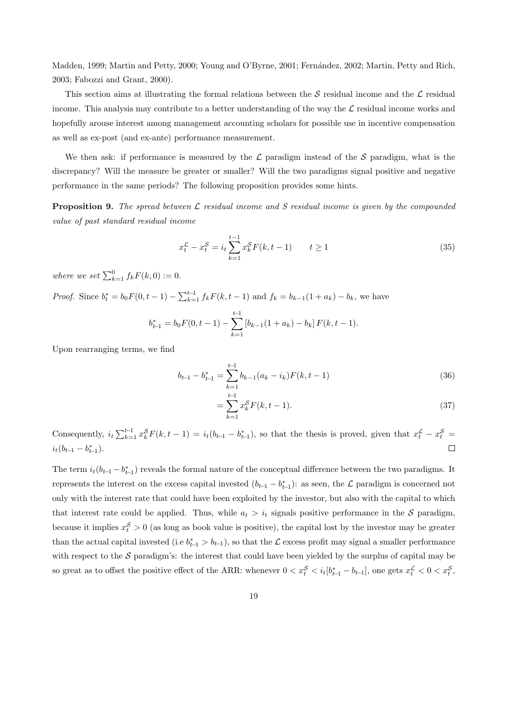Madden, 1999; Martin and Petty, 2000; Young and O'Byrne, 2001; Fernández, 2002; Martin, Petty and Rich, 2003; Fabozzi and Grant, 2000).

This section aims at illustrating the formal relations between the  $S$  residual income and the  $\mathcal L$  residual income. This analysis may contribute to a better understanding of the way the  $\mathcal L$  residual income works and hopefully arouse interest among management accounting scholars for possible use in incentive compensation as well as ex-post (and ex-ante) performance measurement.

We then ask: if performance is measured by the  $\mathcal L$  paradigm instead of the S paradigm, what is the discrepancy? Will the measure be greater or smaller? Will the two paradigms signal positive and negative performance in the same periods? The following proposition provides some hints.

**Proposition 9.** The spread between  $\mathcal{L}$  residual income and S residual income is given by the compounded value of past standard residual income

$$
x_t^{\mathcal{L}} - x_t^{\mathcal{S}} = i_t \sum_{k=1}^{t-1} x_k^{\mathcal{S}} F(k, t-1) \qquad t \ge 1
$$
 (35)

where we set  $\sum_{k=1}^{0} f_k F(k, 0) := 0$ .

*Proof.* Since  $b_t^* = b_0 F(0, t - 1) - \sum_{k=1}^{t-1} f_k F(k, t - 1)$  and  $f_k = b_{k-1}(1 + a_k) - b_k$ , we have

$$
b_{t-1}^* = b_0 F(0, t-1) - \sum_{k=1}^{t-1} [b_{k-1}(1 + a_k) - b_k] F(k, t-1).
$$

Upon rearranging terms, we find

$$
b_{t-1} - b_{t-1}^* = \sum_{k=1}^{t-1} b_{k-1}(a_k - i_k)F(k, t-1)
$$
\n(36)

$$
=\sum_{k=1}^{t-1} x_k^S F(k, t-1).
$$
\n(37)

Consequently,  $i_t \sum_{k=1}^{t-1} x_k^S F(k, t-1) = i_t(b_{t-1} - b_{t-1}^*)$ , so that the thesis is proved, given that  $x_t^{\mathcal{L}} - x_t^S =$  $i_t(b_{t-1}-b_{t-1}^*)$ .  $\Box$ 

The term  $i_t(b_{t-1} - b_{t-1}^*)$  reveals the formal nature of the conceptual difference between the two paradigms. It represents the interest on the excess capital invested  $(b_{t-1} - b_{t-1}^*)$ : as seen, the  $\mathcal L$  paradigm is concerned not only with the interest rate that could have been exploited by the investor, but also with the capital to which that interest rate could be applied. Thus, while  $a_t > i_t$  signals positive performance in the S paradigm, because it implies  $x_t^S > 0$  (as long as book value is positive), the capital lost by the investor may be greater than the actual capital invested (i.e  $b_{t-1}^* > b_{t-1}$ ), so that the L excess profit may signal a smaller performance with respect to the  $S$  paradigm's: the interest that could have been yielded by the surplus of capital may be so great as to offset the positive effect of the ARR: whenever  $0 < x_t^{\mathcal{S}} < i_t[b_{t-1}^* - b_{t-1}]$ , one gets  $x_t^{\mathcal{L}} < 0 < x_t^{\mathcal{S}}$ ,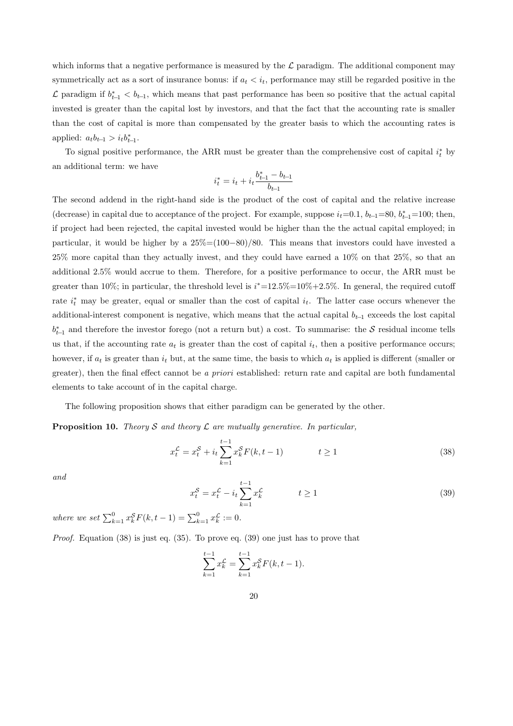which informs that a negative performance is measured by the  $\mathcal L$  paradigm. The additional component may symmetrically act as a sort of insurance bonus: if  $a_t < i_t$ , performance may still be regarded positive in the  $\mathcal{L}$  paradigm if  $b_{t-1}^* < b_{t-1}$ , which means that past performance has been so positive that the actual capital invested is greater than the capital lost by investors, and that the fact that the accounting rate is smaller than the cost of capital is more than compensated by the greater basis to which the accounting rates is applied:  $a_t b_{t-1} > i_t b_{t-1}^*$ .

To signal positive performance, the ARR must be greater than the comprehensive cost of capital  $i_t^*$  by an additional term: we have

$$
i_t^* = i_t + i_t \frac{b_{t-1}^* - b_{t-1}}{b_{t-1}}
$$

The second addend in the right-hand side is the product of the cost of capital and the relative increase (decrease) in capital due to acceptance of the project. For example, suppose  $i_t=0.1$ ,  $b_{t-1}=80$ ,  $b_{t-1}^*=100$ ; then, if project had been rejected, the capital invested would be higher than the the actual capital employed; in particular, it would be higher by a 25%=(100−80)/80. This means that investors could have invested a 25% more capital than they actually invest, and they could have earned a 10% on that 25%, so that an additional 2.5% would accrue to them. Therefore, for a positive performance to occur, the ARR must be greater than 10%; in particular, the threshold level is  $i^*=12.5\%=10\%+2.5\%$ . In general, the required cutoff rate  $i_t^*$  may be greater, equal or smaller than the cost of capital  $i_t$ . The latter case occurs whenever the additional-interest component is negative, which means that the actual capital  $b_{t-1}$  exceeds the lost capital  $b_{t-1}^*$  and therefore the investor forego (not a return but) a cost. To summarise: the S residual income tells us that, if the accounting rate  $a_t$  is greater than the cost of capital  $i_t$ , then a positive performance occurs; however, if  $a_t$  is greater than  $i_t$  but, at the same time, the basis to which  $a_t$  is applied is different (smaller or greater), then the final effect cannot be a priori established: return rate and capital are both fundamental elements to take account of in the capital charge.

The following proposition shows that either paradigm can be generated by the other.

**Proposition 10.** Theory S and theory  $\mathcal L$  are mutually generative. In particular,

$$
x_t^{\mathcal{L}} = x_t^{\mathcal{S}} + i_t \sum_{k=1}^{t-1} x_k^{\mathcal{S}} F(k, t-1) \qquad t \ge 1
$$
 (38)

and

$$
x_t^{\mathcal{S}} = x_t^{\mathcal{L}} - i_t \sum_{k=1}^{t-1} x_k^{\mathcal{L}} \qquad \qquad t \ge 1
$$
 (39)

where we set  $\sum_{k=1}^{0} x_k^S F(k, t-1) = \sum_{k=1}^{0} x_k^{\mathcal{L}} := 0.$ 

*Proof.* Equation  $(38)$  is just eq.  $(35)$ . To prove eq.  $(39)$  one just has to prove that

$$
\sum_{k=1}^{t-1} x_k^{\mathcal{L}} = \sum_{k=1}^{t-1} x_k^{\mathcal{S}} F(k, t-1).
$$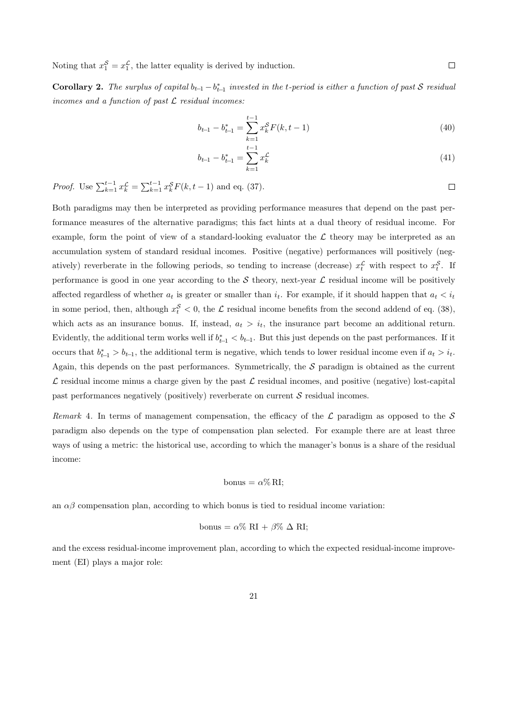Noting that  $x_1^S = x_1^{\mathcal{L}}$ , the latter equality is derived by induction.

**Corollary 2.** The surplus of capital  $b_{t-1} - b_{t-1}^*$  invested in the t-period is either a function of past S residual incomes and a function of past  $\mathcal L$  residual incomes:

$$
b_{t-1} - b_{t-1}^* = \sum_{k=1}^{t-1} x_k^S F(k, t-1)
$$
\n(40)

$$
b_{t-1} - b_{t-1}^* = \sum_{k=1}^{t-1} x_k^{\mathcal{L}} \tag{41}
$$

*Proof.* Use  $\sum_{k=1}^{t-1} x_k^{\mathcal{L}} = \sum_{k=1}^{t-1} x_k^{\mathcal{S}} F(k, t-1)$  and eq. (37).  $\Box$ 

Both paradigms may then be interpreted as providing performance measures that depend on the past performance measures of the alternative paradigms; this fact hints at a dual theory of residual income. For example, form the point of view of a standard-looking evaluator the  $\mathcal L$  theory may be interpreted as an accumulation system of standard residual incomes. Positive (negative) performances will positively (negatively) reverberate in the following periods, so tending to increase (decrease)  $x_t^{\mathcal{L}}$  with respect to  $x_t^{\mathcal{S}}$ . If performance is good in one year according to the  $S$  theory, next-year  $\mathcal L$  residual income will be positively affected regardless of whether  $a_t$  is greater or smaller than  $i_t$ . For example, if it should happen that  $a_t < i_t$ in some period, then, although  $x_t^{\mathcal{S}} < 0$ , the  $\mathcal{L}$  residual income benefits from the second addend of eq. (38), which acts as an insurance bonus. If, instead,  $a_t > i_t$ , the insurance part become an additional return. Evidently, the additional term works well if  $b_{t-1}^* < b_{t-1}$ . But this just depends on the past performances. If it occurs that  $b_{t-1}^* > b_{t-1}$ , the additional term is negative, which tends to lower residual income even if  $a_t > i_t$ . Again, this depends on the past performances. Symmetrically, the  $S$  paradigm is obtained as the current  $\mathcal L$  residual income minus a charge given by the past  $\mathcal L$  residual incomes, and positive (negative) lost-capital past performances negatively (positively) reverberate on current  $S$  residual incomes.

Remark 4. In terms of management compensation, the efficacy of the  $\mathcal L$  paradigm as opposed to the S paradigm also depends on the type of compensation plan selected. For example there are at least three ways of using a metric: the historical use, according to which the manager's bonus is a share of the residual income:

$$
_{\text{bonus}} = \alpha \% \,\text{RI};
$$

an  $\alpha\beta$  compensation plan, according to which bonus is tied to residual income variation:

$$
bonus = \alpha\% \ \mathrm{RI} + \beta\% \ \Delta \ \mathrm{RI};
$$

and the excess residual-income improvement plan, according to which the expected residual-income improvement (EI) plays a major role: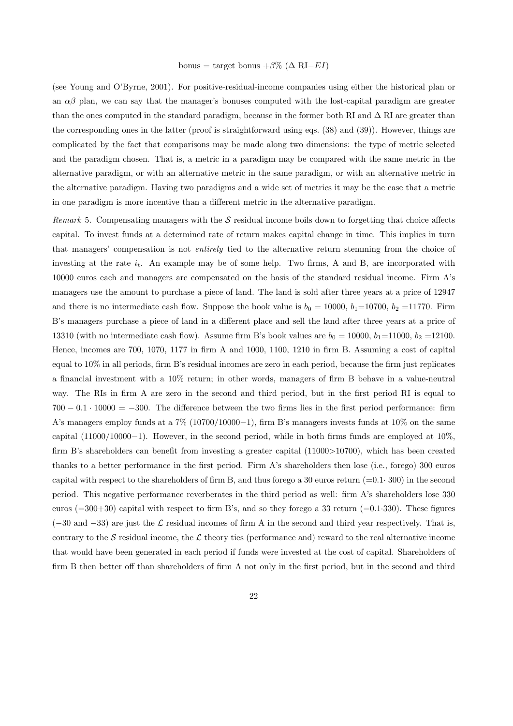#### bonus = target bonus + $\beta\%$  ( $\Delta$  RI−*EI*)

(see Young and O'Byrne, 2001). For positive-residual-income companies using either the historical plan or an  $\alpha\beta$  plan, we can say that the manager's bonuses computed with the lost-capital paradigm are greater than the ones computed in the standard paradigm, because in the former both RI and  $\Delta$  RI are greater than the corresponding ones in the latter (proof is straightforward using eqs. (38) and (39)). However, things are complicated by the fact that comparisons may be made along two dimensions: the type of metric selected and the paradigm chosen. That is, a metric in a paradigm may be compared with the same metric in the alternative paradigm, or with an alternative metric in the same paradigm, or with an alternative metric in the alternative paradigm. Having two paradigms and a wide set of metrics it may be the case that a metric in one paradigm is more incentive than a different metric in the alternative paradigm.

Remark 5. Compensating managers with the  $S$  residual income boils down to forgetting that choice affects capital. To invest funds at a determined rate of return makes capital change in time. This implies in turn that managers' compensation is not entirely tied to the alternative return stemming from the choice of investing at the rate  $i_t$ . An example may be of some help. Two firms, A and B, are incorporated with 10000 euros each and managers are compensated on the basis of the standard residual income. Firm A's managers use the amount to purchase a piece of land. The land is sold after three years at a price of 12947 and there is no intermediate cash flow. Suppose the book value is  $b_0 = 10000$ ,  $b_1=10700$ ,  $b_2=11770$ . Firm B's managers purchase a piece of land in a different place and sell the land after three years at a price of 13310 (with no intermediate cash flow). Assume firm B's book values are  $b_0 = 10000$ ,  $b_1 = 11000$ ,  $b_2 = 12100$ . Hence, incomes are 700, 1070, 1177 in firm A and 1000, 1100, 1210 in firm B. Assuming a cost of capital equal to 10% in all periods, firm B's residual incomes are zero in each period, because the firm just replicates a financial investment with a 10% return; in other words, managers of firm B behave in a value-neutral way. The RIs in firm A are zero in the second and third period, but in the first period RI is equal to  $700 - 0.1 \cdot 10000 = -300$ . The difference between the two firms lies in the first period performance: firm A's managers employ funds at a  $7\%$  (10700/10000-1), firm B's managers invests funds at 10% on the same capital (11000/10000−1). However, in the second period, while in both firms funds are employed at 10%, firm B's shareholders can benefit from investing a greater capital (11000>10700), which has been created thanks to a better performance in the first period. Firm A's shareholders then lose (i.e., forego) 300 euros capital with respect to the shareholders of firm B, and thus forego a 30 euros return  $(=0.1 \cdot 300)$  in the second period. This negative performance reverberates in the third period as well: firm A's shareholders lose 330 euros ( $=300+30$ ) capital with respect to firm B's, and so they forego a 33 return ( $=0.1.330$ ). These figures  $(-30 \text{ and } -33)$  are just the L residual incomes of firm A in the second and third year respectively. That is, contrary to the S residual income, the  $\mathcal L$  theory ties (performance and) reward to the real alternative income that would have been generated in each period if funds were invested at the cost of capital. Shareholders of firm B then better off than shareholders of firm A not only in the first period, but in the second and third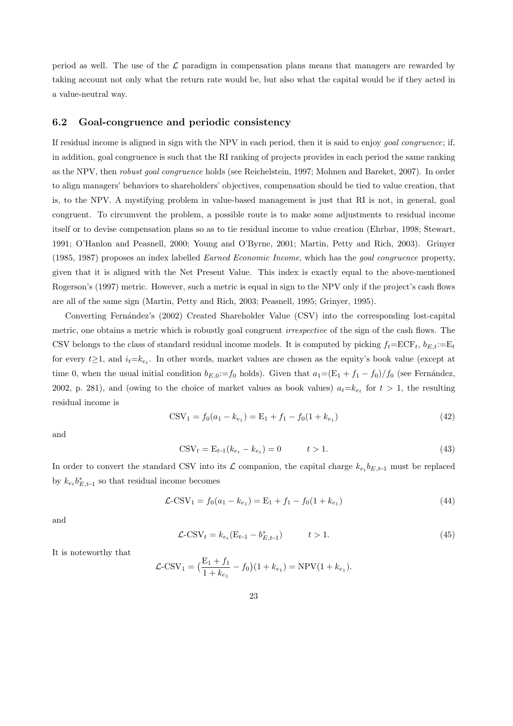period as well. The use of the  $\mathcal L$  paradigm in compensation plans means that managers are rewarded by taking account not only what the return rate would be, but also what the capital would be if they acted in a value-neutral way.

#### 6.2 Goal-congruence and periodic consistency

If residual income is aligned in sign with the NPV in each period, then it is said to enjoy goal congruence; if, in addition, goal congruence is such that the RI ranking of projects provides in each period the same ranking as the NPV, then robust goal congruence holds (see Reichelstein, 1997; Mohnen and Bareket, 2007). In order to align managers' behaviors to shareholders' objectives, compensation should be tied to value creation, that is, to the NPV. A mystifying problem in value-based management is just that RI is not, in general, goal congruent. To circumvent the problem, a possible route is to make some adjustments to residual income itself or to devise compensation plans so as to tie residual income to value creation (Ehrbar, 1998; Stewart, 1991; O'Hanlon and Peasnell, 2000; Young and O'Byrne, 2001; Martin, Petty and Rich, 2003). Grinyer (1985, 1987) proposes an index labelled Earned Economic Income, which has the goal congruence property, given that it is aligned with the Net Present Value. This index is exactly equal to the above-mentioned Rogerson's (1997) metric. However, such a metric is equal in sign to the NPV only if the project's cash flows are all of the same sign (Martin, Petty and Rich, 2003; Peasnell, 1995; Grinyer, 1995).

Converting Fernández's (2002) Created Shareholder Value (CSV) into the corresponding lost-capital metric, one obtains a metric which is robustly goal congruent *irrespective* of the sign of the cash flows. The CSV belongs to the class of standard residual income models. It is computed by picking  $f_t = ECF_t$ ,  $b_{E_t} := E_t$ for every  $t\geq 1$ , and  $i_t=k_{e_t}$ . In other words, market values are chosen as the equity's book value (except at time 0, when the usual initial condition  $b_{E,0}:=f_0$  holds). Given that  $a_1=(E_1+f_1-f_0)/f_0$  (see Fernández, 2002, p. 281), and (owing to the choice of market values as book values)  $a_t = k_{e_t}$  for  $t > 1$ , the resulting residual income is

$$
CSV_1 = f_0(a_1 - k_{e_1}) = E_1 + f_1 - f_0(1 + k_{e_1})
$$
\n(42)

and

$$
CSV_t = E_{t-1}(k_{e_t} - k_{e_t}) = 0 \qquad t > 1.
$$
\n(43)

In order to convert the standard CSV into its L companion, the capital charge  $k_{e_t}b_{E,t-1}$  must be replaced by  $k_{e_t} b_{E,t-1}^*$  so that residual income becomes

$$
\mathcal{L}\text{-CSV}_1 = f_0(a_1 - k_{e_1}) = \mathcal{E}_1 + f_1 - f_0(1 + k_{e_1})\tag{44}
$$

and

$$
\mathcal{L}\text{-CSV}_t = k_{e_t} (E_{t-1} - b_{E,t-1}^*) \qquad t > 1. \tag{45}
$$

It is noteworthy that

$$
\mathcal{L}\text{-CSV}_1 = \left(\frac{E_1 + f_1}{1 + k_{e_1}} - f_0\right)(1 + k_{e_1}) = \text{NPV}(1 + k_{e_1}).
$$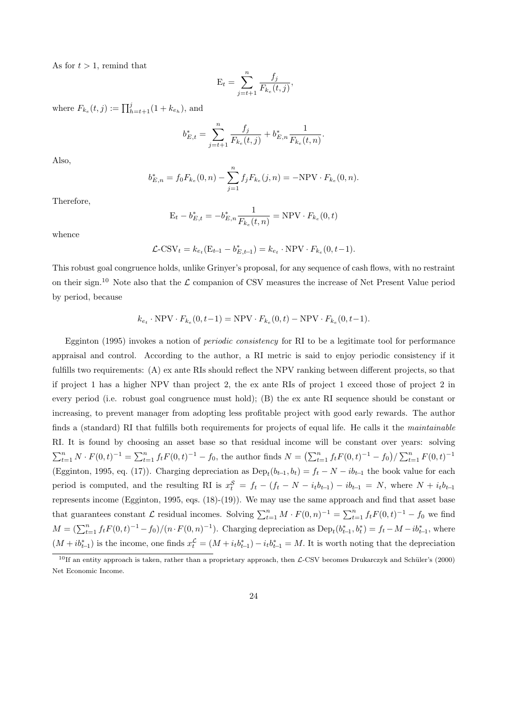As for  $t > 1$ , remind that

$$
E_t = \sum_{j=t+1}^n \frac{f_j}{F_{k_e}(t,j)},
$$

where  $F_{k_e}(t, j) := \prod_{h=t+1}^{j} (1 + k_{e_h})$ , and

$$
b_{E,t}^* = \sum_{j=t+1}^n \frac{f_j}{F_{k_e}(t,j)} + b_{E,n}^* \frac{1}{F_{k_e}(t,n)}.
$$

Also,

$$
b_{E,n}^* = f_0 F_{k_e}(0, n) - \sum_{j=1}^n f_j F_{k_e}(j, n) = -\text{NPV} \cdot F_{k_e}(0, n).
$$

Therefore,

$$
\mathbf{E}_t - b_{E,t}^* = -b_{E,n}^* \frac{1}{F_{k_e}(t,n)} = \text{NPV} \cdot F_{k_e}(0,t)
$$

whence

$$
\mathcal{L}\text{-CSV}_t = k_{e_t}(\mathbf{E}_{t-1} - b_{E,t-1}^*) = k_{e_t} \cdot \text{NPV} \cdot F_{k_e}(0, t-1).
$$

This robust goal congruence holds, unlike Grinyer's proposal, for any sequence of cash flows, with no restraint on their sign.<sup>10</sup> Note also that the  $\mathcal L$  companion of CSV measures the increase of Net Present Value period by period, because

$$
k_{e_t} \cdot \text{NPV} \cdot F_{k_e}(0, t-1) = \text{NPV} \cdot F_{k_e}(0, t) - \text{NPV} \cdot F_{k_e}(0, t-1).
$$

Egginton (1995) invokes a notion of periodic consistency for RI to be a legitimate tool for performance appraisal and control. According to the author, a RI metric is said to enjoy periodic consistency if it fulfills two requirements: (A) ex ante RIs should reflect the NPV ranking between different projects, so that if project 1 has a higher NPV than project 2, the ex ante RIs of project 1 exceed those of project 2 in every period (i.e. robust goal congruence must hold); (B) the ex ante RI sequence should be constant or increasing, to prevent manager from adopting less profitable project with good early rewards. The author finds a (standard) RI that fulfills both requirements for projects of equal life. He calls it the maintainable RI. It is found by choosing an asset base so that residual income will be constant over years: solving  $\sum_{t=1}^{n} N \cdot F(0,t)^{-1} = \sum_{t=1}^{n} f_t F(0,t)^{-1} - f_0$ , the author finds  $N = (\sum_{t=1}^{n} f_t F(0,t)^{-1} - f_0) / (\sum_{t=1}^{n} F(0,t)^{-1} - f_0)$ (Egginton, 1995, eq. (17)). Charging depreciation as  $\text{Dep}_t(b_{t-1}, b_t) = f_t - N - ib_{t-1}$  the book value for each period is computed, and the resulting RI is  $x_t^S = f_t - (f_t - N - i_t b_{t-1}) - i b_{t-1} = N$ , where  $N + i_t b_{t-1}$ represents income (Egginton, 1995, eqs. (18)-(19)). We may use the same approach and find that asset base that guarantees constant  $\mathcal L$  residual incomes. Solving  $\sum_{t=1}^n M \cdot F(0, n)^{-1} = \sum_{t=1}^n f_t F(0, t)^{-1} - f_0$  we find  $M = (\sum_{t=1}^{n} f_t F(0, t)^{-1} - f_0)/(n \cdot F(0, n)^{-1})$ . Charging depreciation as  $\text{Dep}_t(b_{t-1}^*, b_t^*) = f_t - M - ib_{t-1}^*$ , where  $(M+ib_{t-1}^*)$  is the income, one finds  $x_t^{\mathcal{L}} = (M+i_t b_{t-1}^*)-i_t b_{t-1}^* = M$ . It is worth noting that the depreciation

<sup>&</sup>lt;sup>10</sup>If an entity approach is taken, rather than a proprietary approach, then  $\mathcal{L}\text{-CSV}$  becomes Drukarczyk and Schüler's (2000) Net Economic Income.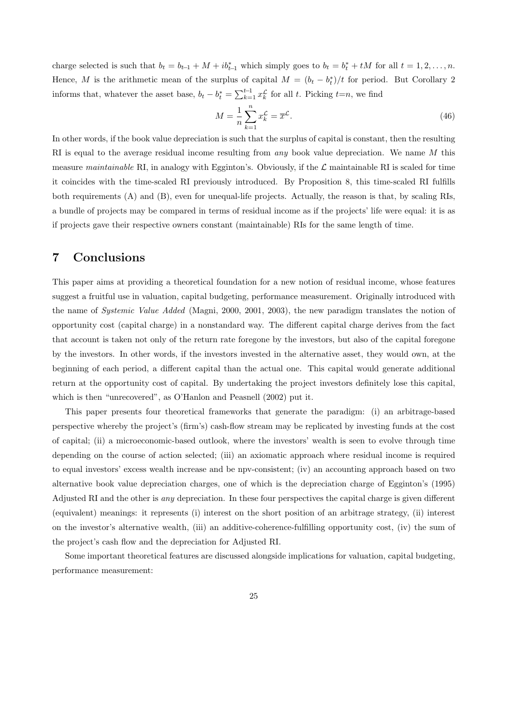charge selected is such that  $b_t = b_{t-1} + M + ib_{t-1}^*$  which simply goes to  $b_t = b_t^* + tM$  for all  $t = 1, 2, ..., n$ . Hence, M is the arithmetic mean of the surplus of capital  $M = (b_t - b_t^*)/t$  for period. But Corollary 2 informs that, whatever the asset base,  $b_t - b_t^* = \sum_{k=1}^{t-1} x_k^{\mathcal{L}}$  for all t. Picking  $t=n$ , we find

$$
M = \frac{1}{n} \sum_{k=1}^{n} x_k^{\mathcal{L}} = \overline{x}^{\mathcal{L}}.
$$
\n(46)

In other words, if the book value depreciation is such that the surplus of capital is constant, then the resulting RI is equal to the average residual income resulting from *any* book value depreciation. We name  $M$  this measure maintainable RI, in analogy with Egginton's. Obviously, if the  $\mathcal L$  maintainable RI is scaled for time it coincides with the time-scaled RI previously introduced. By Proposition 8, this time-scaled RI fulfills both requirements (A) and (B), even for unequal-life projects. Actually, the reason is that, by scaling RIs, a bundle of projects may be compared in terms of residual income as if the projects' life were equal: it is as if projects gave their respective owners constant (maintainable) RIs for the same length of time.

## 7 Conclusions

This paper aims at providing a theoretical foundation for a new notion of residual income, whose features suggest a fruitful use in valuation, capital budgeting, performance measurement. Originally introduced with the name of Systemic Value Added (Magni, 2000, 2001, 2003), the new paradigm translates the notion of opportunity cost (capital charge) in a nonstandard way. The different capital charge derives from the fact that account is taken not only of the return rate foregone by the investors, but also of the capital foregone by the investors. In other words, if the investors invested in the alternative asset, they would own, at the beginning of each period, a different capital than the actual one. This capital would generate additional return at the opportunity cost of capital. By undertaking the project investors definitely lose this capital, which is then "unrecovered", as O'Hanlon and Peasnell (2002) put it.

This paper presents four theoretical frameworks that generate the paradigm: (i) an arbitrage-based perspective whereby the project's (firm's) cash-flow stream may be replicated by investing funds at the cost of capital; (ii) a microeconomic-based outlook, where the investors' wealth is seen to evolve through time depending on the course of action selected; (iii) an axiomatic approach where residual income is required to equal investors' excess wealth increase and be npv-consistent; (iv) an accounting approach based on two alternative book value depreciation charges, one of which is the depreciation charge of Egginton's (1995) Adjusted RI and the other is any depreciation. In these four perspectives the capital charge is given different (equivalent) meanings: it represents (i) interest on the short position of an arbitrage strategy, (ii) interest on the investor's alternative wealth, (iii) an additive-coherence-fulfilling opportunity cost, (iv) the sum of the project's cash flow and the depreciation for Adjusted RI.

Some important theoretical features are discussed alongside implications for valuation, capital budgeting, performance measurement: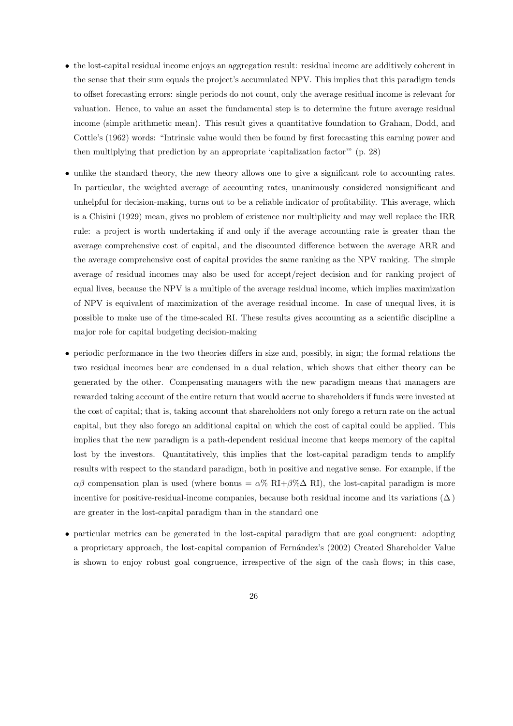- the lost-capital residual income enjoys an aggregation result: residual income are additively coherent in the sense that their sum equals the project's accumulated NPV. This implies that this paradigm tends to offset forecasting errors: single periods do not count, only the average residual income is relevant for valuation. Hence, to value an asset the fundamental step is to determine the future average residual income (simple arithmetic mean). This result gives a quantitative foundation to Graham, Dodd, and Cottle's (1962) words: "Intrinsic value would then be found by first forecasting this earning power and then multiplying that prediction by an appropriate 'capitalization factor'" (p. 28)
- unlike the standard theory, the new theory allows one to give a significant role to accounting rates. In particular, the weighted average of accounting rates, unanimously considered nonsignificant and unhelpful for decision-making, turns out to be a reliable indicator of profitability. This average, which is a Chisini (1929) mean, gives no problem of existence nor multiplicity and may well replace the IRR rule: a project is worth undertaking if and only if the average accounting rate is greater than the average comprehensive cost of capital, and the discounted difference between the average ARR and the average comprehensive cost of capital provides the same ranking as the NPV ranking. The simple average of residual incomes may also be used for accept/reject decision and for ranking project of equal lives, because the NPV is a multiple of the average residual income, which implies maximization of NPV is equivalent of maximization of the average residual income. In case of unequal lives, it is possible to make use of the time-scaled RI. These results gives accounting as a scientific discipline a major role for capital budgeting decision-making
- periodic performance in the two theories differs in size and, possibly, in sign; the formal relations the two residual incomes bear are condensed in a dual relation, which shows that either theory can be generated by the other. Compensating managers with the new paradigm means that managers are rewarded taking account of the entire return that would accrue to shareholders if funds were invested at the cost of capital; that is, taking account that shareholders not only forego a return rate on the actual capital, but they also forego an additional capital on which the cost of capital could be applied. This implies that the new paradigm is a path-dependent residual income that keeps memory of the capital lost by the investors. Quantitatively, this implies that the lost-capital paradigm tends to amplify results with respect to the standard paradigm, both in positive and negative sense. For example, if the  $\alpha\beta$  compensation plan is used (where bonus =  $\alpha\%$  RI+ $\beta\%$  $\Delta$  RI), the lost-capital paradigm is more incentive for positive-residual-income companies, because both residual income and its variations  $(\Delta)$ are greater in the lost-capital paradigm than in the standard one
- particular metrics can be generated in the lost-capital paradigm that are goal congruent: adopting a proprietary approach, the lost-capital companion of Fernández's (2002) Created Shareholder Value is shown to enjoy robust goal congruence, irrespective of the sign of the cash flows; in this case,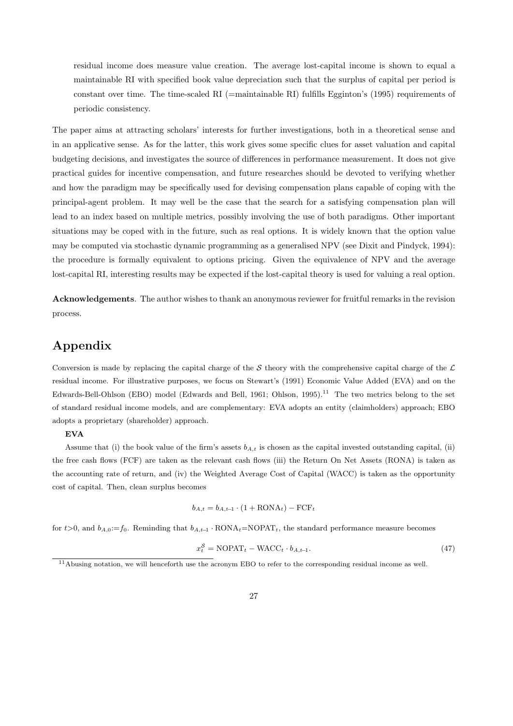residual income does measure value creation. The average lost-capital income is shown to equal a maintainable RI with specified book value depreciation such that the surplus of capital per period is constant over time. The time-scaled RI (=maintainable RI) fulfills Egginton's (1995) requirements of periodic consistency.

The paper aims at attracting scholars' interests for further investigations, both in a theoretical sense and in an applicative sense. As for the latter, this work gives some specific clues for asset valuation and capital budgeting decisions, and investigates the source of differences in performance measurement. It does not give practical guides for incentive compensation, and future researches should be devoted to verifying whether and how the paradigm may be specifically used for devising compensation plans capable of coping with the principal-agent problem. It may well be the case that the search for a satisfying compensation plan will lead to an index based on multiple metrics, possibly involving the use of both paradigms. Other important situations may be coped with in the future, such as real options. It is widely known that the option value may be computed via stochastic dynamic programming as a generalised NPV (see Dixit and Pindyck, 1994): the procedure is formally equivalent to options pricing. Given the equivalence of NPV and the average lost-capital RI, interesting results may be expected if the lost-capital theory is used for valuing a real option.

Acknowledgements. The author wishes to thank an anonymous reviewer for fruitful remarks in the revision process.

# Appendix

Conversion is made by replacing the capital charge of the S theory with the comprehensive capital charge of the  $\mathcal L$ residual income. For illustrative purposes, we focus on Stewart's (1991) Economic Value Added (EVA) and on the Edwards-Bell-Ohlson (EBO) model (Edwards and Bell, 1961; Ohlson, 1995).<sup>11</sup> The two metrics belong to the set of standard residual income models, and are complementary: EVA adopts an entity (claimholders) approach; EBO adopts a proprietary (shareholder) approach.

#### EVA

Assume that (i) the book value of the firm's assets  $b_{A,t}$  is chosen as the capital invested outstanding capital, (ii) the free cash flows (FCF) are taken as the relevant cash flows (iii) the Return On Net Assets (RONA) is taken as the accounting rate of return, and (iv) the Weighted Average Cost of Capital (WACC) is taken as the opportunity cost of capital. Then, clean surplus becomes

$$
b_{A,t} = b_{A,t-1} \cdot (1 + \text{RONA}_t) - \text{FCF}_t
$$

for t>0, and  $b_{A,0}:=f_0$ . Reminding that  $b_{A,t-1} \cdot \text{RONA}_t=\text{NOPAT}_t$ , the standard performance measure becomes

$$
x_t^S = \text{NOPAT}_t - \text{WACC}_t \cdot b_{A, t-1}.\tag{47}
$$

<sup>11</sup>Abusing notation, we will henceforth use the acronym EBO to refer to the corresponding residual income as well.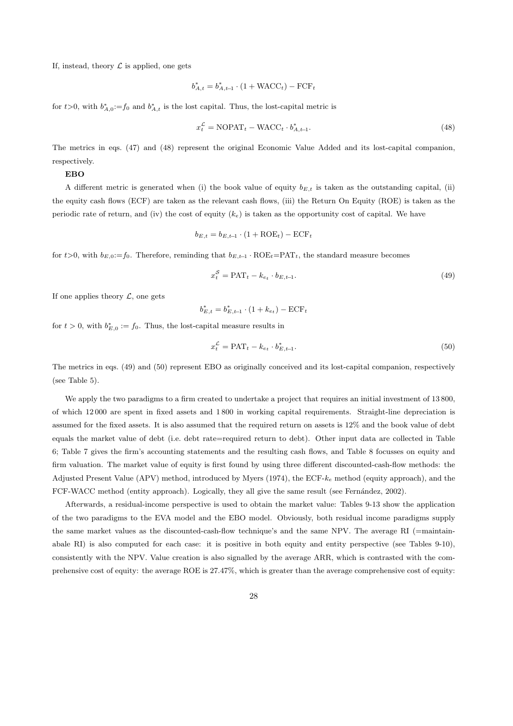If, instead, theory  $\mathcal L$  is applied, one gets

$$
b_{A,t}^* = b_{A,t-1}^* \cdot (1 + \text{WACC}_t) - \text{FCF}_t
$$

for  $t>0$ , with  $b_{A,0}^*:=f_0$  and  $b_{A,t}^*$  is the lost capital. Thus, the lost-capital metric is

$$
x_t^{\mathcal{L}} = \text{NOPAT}_t - \text{WACC}_t \cdot b_{A, t-1}^*.
$$
\n
$$
(48)
$$

The metrics in eqs. (47) and (48) represent the original Economic Value Added and its lost-capital companion, respectively.

#### EBO

A different metric is generated when (i) the book value of equity  $b_{E,t}$  is taken as the outstanding capital, (ii) the equity cash flows (ECF) are taken as the relevant cash flows, (iii) the Return On Equity (ROE) is taken as the periodic rate of return, and (iv) the cost of equity  $(k_e)$  is taken as the opportunity cost of capital. We have

$$
b_{E,t} = b_{E,t-1} \cdot (1 + \text{ROE}_t) - \text{ECF}_t
$$

for t>0, with  $b_{E,0}:=f_0$ . Therefore, reminding that  $b_{E,t-1} \cdot \text{ROE}_t=\text{PAT}_t$ , the standard measure becomes

$$
x_t^{\mathcal{S}} = \text{PAT}_t - k_{e_t} \cdot b_{E, t-1}.\tag{49}
$$

If one applies theory  $\mathcal{L}$ , one gets

$$
b_{E,t}^* = b_{E,t-1}^* \cdot (1 + k_{e_t}) - \text{ECF}_t
$$

for  $t > 0$ , with  $b_{E,0}^* := f_0$ . Thus, the lost-capital measure results in

$$
x_t^{\mathcal{L}} = \text{PAT}_t - k_{e_t} \cdot b_{E, t-1}^*.
$$
\n
$$
(50)
$$

The metrics in eqs. (49) and (50) represent EBO as originally conceived and its lost-capital companion, respectively (see Table 5).

We apply the two paradigms to a firm created to undertake a project that requires an initial investment of 13 800, of which 12 000 are spent in fixed assets and 1 800 in working capital requirements. Straight-line depreciation is assumed for the fixed assets. It is also assumed that the required return on assets is 12% and the book value of debt equals the market value of debt (i.e. debt rate=required return to debt). Other input data are collected in Table 6; Table 7 gives the firm's accounting statements and the resulting cash flows, and Table 8 focusses on equity and firm valuation. The market value of equity is first found by using three different discounted-cash-flow methods: the Adjusted Present Value (APV) method, introduced by Myers (1974), the ECF- $k_e$  method (equity approach), and the FCF-WACC method (entity approach). Logically, they all give the same result (see Fernández, 2002).

Afterwards, a residual-income perspective is used to obtain the market value: Tables 9-13 show the application of the two paradigms to the EVA model and the EBO model. Obviously, both residual income paradigms supply the same market values as the discounted-cash-flow technique's and the same NPV. The average RI (=maintainabale RI) is also computed for each case: it is positive in both equity and entity perspective (see Tables 9-10), consistently with the NPV. Value creation is also signalled by the average ARR, which is contrasted with the comprehensive cost of equity: the average ROE is 27.47%, which is greater than the average comprehensive cost of equity: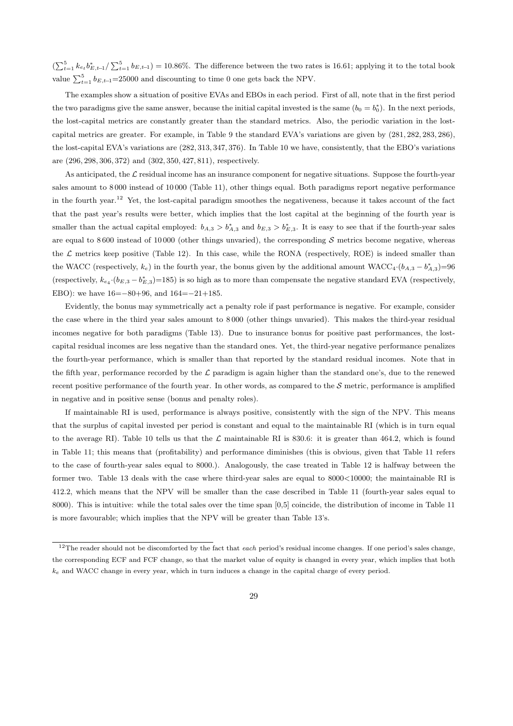$\left(\sum_{t=1}^{5} k_{e_t} b_{E,t-1}^* / \sum_{t=1}^{5} b_{E,t-1}\right) = 10.86\%$ . The difference between the two rates is 16.61; applying it to the total book value  $\sum_{t=1}^{5} b_{E,t-1} = 25000$  and discounting to time 0 one gets back the NPV.

The examples show a situation of positive EVAs and EBOs in each period. First of all, note that in the first period the two paradigms give the same answer, because the initial capital invested is the same  $(b_0 = b_0^*)$ . In the next periods, the lost-capital metrics are constantly greater than the standard metrics. Also, the periodic variation in the lostcapital metrics are greater. For example, in Table 9 the standard EVA's variations are given by (281, 282, 283, 286), the lost-capital EVA's variations are (282, 313, 347, 376). In Table 10 we have, consistently, that the EBO's variations are (296, 298, 306, 372) and (302, 350, 427, 811), respectively.

As anticipated, the  $\mathcal L$  residual income has an insurance component for negative situations. Suppose the fourth-year sales amount to 8 000 instead of 10 000 (Table 11), other things equal. Both paradigms report negative performance in the fourth year.<sup>12</sup> Yet, the lost-capital paradigm smoothes the negativeness, because it takes account of the fact that the past year's results were better, which implies that the lost capital at the beginning of the fourth year is smaller than the actual capital employed:  $b_{A,3} > b_{A,3}^*$  and  $b_{E,3} > b_{E,3}^*$ . It is easy to see that if the fourth-year sales are equal to 8600 instead of 10000 (other things unvaried), the corresponding  $S$  metrics become negative, whereas the  $\mathcal L$  metrics keep positive (Table 12). In this case, while the RONA (respectively, ROE) is indeed smaller than the WACC (respectively,  $k_e$ ) in the fourth year, the bonus given by the additional amount WACC<sub>4</sub>· $(b_{A,3} - b_{A,3}^*) = 96$ (respectively,  $k_{e_4} \cdot (b_{E,3} - b_{E,3}^*) = 185$ ) is so high as to more than compensate the negative standard EVA (respectively, EBO): we have 16=−80+96, and 164=−21+185.

Evidently, the bonus may symmetrically act a penalty role if past performance is negative. For example, consider the case where in the third year sales amount to 8 000 (other things unvaried). This makes the third-year residual incomes negative for both paradigms (Table 13). Due to insurance bonus for positive past performances, the lostcapital residual incomes are less negative than the standard ones. Yet, the third-year negative performance penalizes the fourth-year performance, which is smaller than that reported by the standard residual incomes. Note that in the fifth year, performance recorded by the  $\mathcal L$  paradigm is again higher than the standard one's, due to the renewed recent positive performance of the fourth year. In other words, as compared to the  $S$  metric, performance is amplified in negative and in positive sense (bonus and penalty roles).

If maintainable RI is used, performance is always positive, consistently with the sign of the NPV. This means that the surplus of capital invested per period is constant and equal to the maintainable RI (which is in turn equal to the average RI). Table 10 tells us that the  $\mathcal L$  maintainable RI is 830.6: it is greater than 464.2, which is found in Table 11; this means that (profitability) and performance diminishes (this is obvious, given that Table 11 refers to the case of fourth-year sales equal to 8000.). Analogously, the case treated in Table 12 is halfway between the former two. Table 13 deals with the case where third-year sales are equal to 8000<10000; the maintainable RI is 412.2, which means that the NPV will be smaller than the case described in Table 11 (fourth-year sales equal to 8000). This is intuitive: while the total sales over the time span [0,5] coincide, the distribution of income in Table 11 is more favourable; which implies that the NPV will be greater than Table 13's.

 $12$ The reader should not be discomforted by the fact that each period's residual income changes. If one period's sales change, the corresponding ECF and FCF change, so that the market value of equity is changed in every year, which implies that both  $k_e$  and WACC change in every year, which in turn induces a change in the capital charge of every period.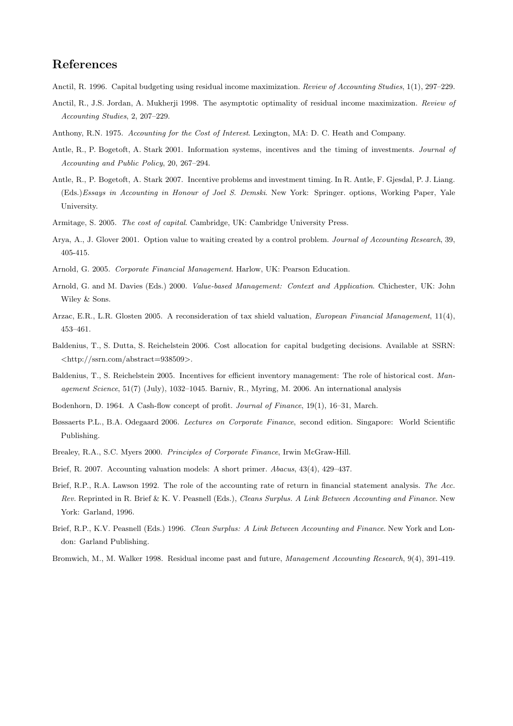# References

- Anctil, R. 1996. Capital budgeting using residual income maximization. *Review of Accounting Studies*, 1(1), 297–229.
- Anctil, R., J.S. Jordan, A. Mukherji 1998. The asymptotic optimality of residual income maximization. *Review of Accounting Studies*, 2, 207–229.
- Anthony, R.N. 1975. *Accounting for the Cost of Interest*. Lexington, MA: D. C. Heath and Company.
- Antle, R., P. Bogetoft, A. Stark 2001. Information systems, incentives and the timing of investments. *Journal of Accounting and Public Policy*, 20, 267–294.
- Antle, R., P. Bogetoft, A. Stark 2007. Incentive problems and investment timing. In R. Antle, F. Gjesdal, P. J. Liang. (Eds.)*Essays in Accounting in Honour of Joel S. Demski*. New York: Springer. options, Working Paper, Yale University.
- Armitage, S. 2005. *The cost of capital*. Cambridge, UK: Cambridge University Press.
- Arya, A., J. Glover 2001. Option value to waiting created by a control problem. *Journal of Accounting Research*, 39, 405-415.
- Arnold, G. 2005. *Corporate Financial Management*. Harlow, UK: Pearson Education.
- Arnold, G. and M. Davies (Eds.) 2000. *Value-based Management: Context and Application*. Chichester, UK: John Wiley & Sons.
- Arzac, E.R., L.R. Glosten 2005. A reconsideration of tax shield valuation, *European Financial Management*, 11(4), 453–461.
- Baldenius, T., S. Dutta, S. Reichelstein 2006. Cost allocation for capital budgeting decisions. Available at SSRN:  $\langle \text{http://ssrn.com/abstract=938509>}.$
- Baldenius, T., S. Reichelstein 2005. Incentives for efficient inventory management: The role of historical cost. *Management Science*, 51(7) (July), 1032–1045. Barniv, R., Myring, M. 2006. An international analysis
- Bodenhorn, D. 1964. A Cash-flow concept of profit. *Journal of Finance*, 19(1), 16–31, March.
- Bøssaerts P.L., B.A. Odegaard 2006. *Lectures on Corporate Finance*, second edition. Singapore: World Scientific Publishing.
- Brealey, R.A., S.C. Myers 2000. *Principles of Corporate Finance*, Irwin McGraw-Hill.
- Brief, R. 2007. Accounting valuation models: A short primer. *Abacus*, 43(4), 429–437.
- Brief, R.P., R.A. Lawson 1992. The role of the accounting rate of return in financial statement analysis. *The Acc. Rev.* Reprinted in R. Brief & K. V. Peasnell (Eds.), *Cleans Surplus. A Link Between Accounting and Finance*. New York: Garland, 1996.
- Brief, R.P., K.V. Peasnell (Eds.) 1996. *Clean Surplus: A Link Between Accounting and Finance*. New York and London: Garland Publishing.
- Bromwich, M., M. Walker 1998. Residual income past and future, *Management Accounting Research*, 9(4), 391-419.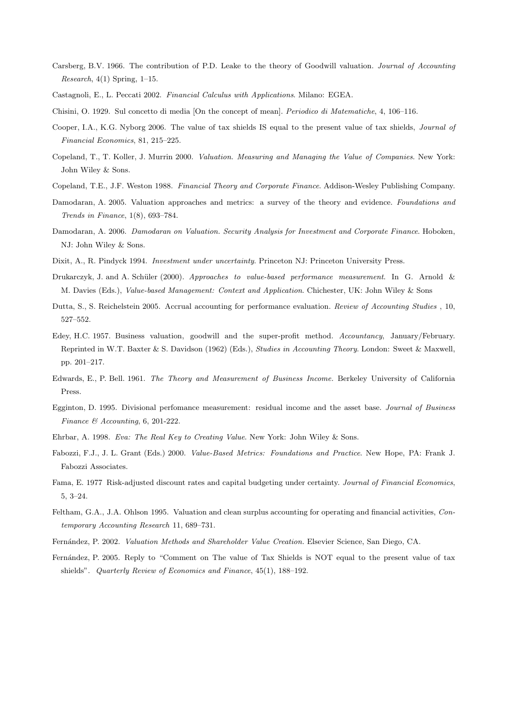- Carsberg, B.V. 1966. The contribution of P.D. Leake to the theory of Goodwill valuation. *Journal of Accounting Research*, 4(1) Spring, 1–15.
- Castagnoli, E., L. Peccati 2002. *Financial Calculus with Applications*. Milano: EGEA.
- Chisini, O. 1929. Sul concetto di media [On the concept of mean]. *Periodico di Matematiche*, 4, 106–116.
- Cooper, I.A., K.G. Nyborg 2006. The value of tax shields IS equal to the present value of tax shields, *Journal of Financial Economics*, 81, 215–225.
- Copeland, T., T. Koller, J. Murrin 2000. *Valuation. Measuring and Managing the Value of Companies*. New York: John Wiley & Sons.
- Copeland, T.E., J.F. Weston 1988. *Financial Theory and Corporate Finance*. Addison-Wesley Publishing Company.
- Damodaran, A. 2005. Valuation approaches and metrics: a survey of the theory and evidence. *Foundations and Trends in Finance*, 1(8), 693–784.
- Damodaran, A. 2006. *Damodaran on Valuation. Security Analysis for Investment and Corporate Finance*. Hoboken, NJ: John Wiley & Sons.
- Dixit, A., R. Pindyck 1994. *Investment under uncertainty*. Princeton NJ: Princeton University Press.
- Drukarczyk, J. and A. Sch¨uler (2000). *Approaches to value-based performance measurement*. In G. Arnold & M. Davies (Eds.), *Value-based Management: Context and Application*. Chichester, UK: John Wiley & Sons
- Dutta, S., S. Reichelstein 2005. Accrual accounting for performance evaluation. *Review of Accounting Studies* , 10, 527–552.
- Edey, H.C. 1957. Business valuation, goodwill and the super-profit method. *Accountancy*, January/February. Reprinted in W.T. Baxter & S. Davidson (1962) (Eds.), *Studies in Accounting Theory*. London: Sweet & Maxwell, pp. 201–217.
- Edwards, E., P. Bell. 1961. *The Theory and Measurement of Business Income.* Berkeley University of California Press.
- Egginton, D. 1995. Divisional perfomance measurement: residual income and the asset base. *Journal of Business Finance & Accounting*, 6, 201-222.
- Ehrbar, A. 1998. *Eva: The Real Key to Creating Value*. New York: John Wiley & Sons.
- Fabozzi, F.J., J. L. Grant (Eds.) 2000. *Value-Based Metrics: Foundations and Practice*. New Hope, PA: Frank J. Fabozzi Associates.
- Fama, E. 1977 Risk-adjusted discount rates and capital budgeting under certainty. *Journal of Financial Economics*, 5, 3–24.
- Feltham, G.A., J.A. Ohlson 1995. Valuation and clean surplus accounting for operating and financial activities, *Contemporary Accounting Research* 11, 689–731.
- Fern´andez, P. 2002. *Valuation Methods and Shareholder Value Creation.* Elsevier Science, San Diego, CA.
- Fernández, P. 2005. Reply to "Comment on The value of Tax Shields is NOT equal to the present value of tax shields". *Quarterly Review of Economics and Finance*, 45(1), 188–192.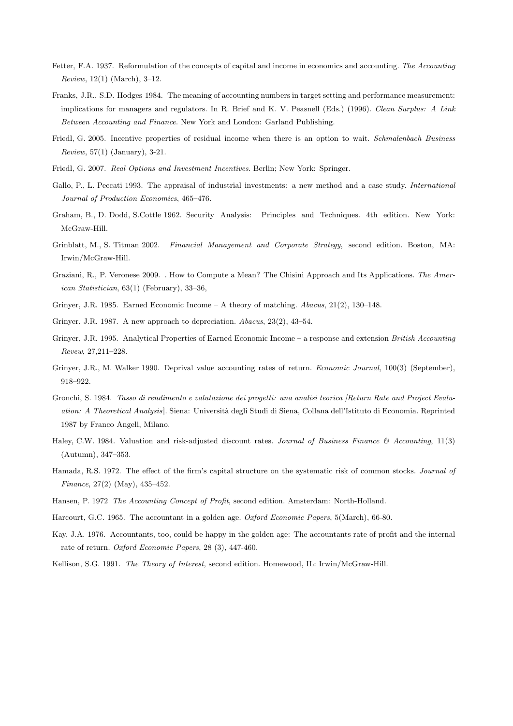- Fetter, F.A. 1937. Reformulation of the concepts of capital and income in economics and accounting. *The Accounting Review*, 12(1) (March), 3–12.
- Franks, J.R., S.D. Hodges 1984. The meaning of accounting numbers in target setting and performance measurement: implications for managers and regulators. In R. Brief and K. V. Peasnell (Eds.) (1996). *Clean Surplus: A Link Between Accounting and Finance*. New York and London: Garland Publishing.
- Friedl, G. 2005. Incentive properties of residual income when there is an option to wait. *Schmalenbach Business Review*, 57(1) (January), 3-21.
- Friedl, G. 2007. *Real Options and Investment Incentives*. Berlin; New York: Springer.
- Gallo, P., L. Peccati 1993. The appraisal of industrial investments: a new method and a case study. *International Journal of Production Economics*, 465–476.
- Graham, B., D. Dodd, S.Cottle 1962. Security Analysis: Principles and Techniques. 4th edition. New York: McGraw-Hill.
- Grinblatt, M., S. Titman 2002. *Financial Management and Corporate Strategy*, second edition. Boston, MA: Irwin/McGraw-Hill.
- Graziani, R., P. Veronese 2009. . How to Compute a Mean? The Chisini Approach and Its Applications. *The American Statistician*, 63(1) (February), 33–36,
- Grinyer, J.R. 1985. Earned Economic Income A theory of matching. *Abacus*, 21(2), 130–148.
- Grinyer, J.R. 1987. A new approach to depreciation. *Abacus*, 23(2), 43–54.
- Grinyer, J.R. 1995. Analytical Properties of Earned Economic Income a response and extension *British Accounting Revew*, 27,211–228.
- Grinyer, J.R., M. Walker 1990. Deprival value accounting rates of return. *Economic Journal*, 100(3) (September), 918–922.
- Gronchi, S. 1984. *Tasso di rendimento e valutazione dei progetti: una analisi teorica [Return Rate and Project Evaluation: A Theoretical Analysis*]. Siena: Universit`a degli Studi di Siena, Collana dell'Istituto di Economia. Reprinted 1987 by Franco Angeli, Milano.
- Haley, C.W. 1984. Valuation and risk-adjusted discount rates. *Journal of Business Finance & Accounting*, 11(3) (Autumn), 347–353.
- Hamada, R.S. 1972. The effect of the firm's capital structure on the systematic risk of common stocks. *Journal of Finance*, 27(2) (May), 435–452.
- Hansen, P. 1972 *The Accounting Concept of Profit*, second edition. Amsterdam: North-Holland.
- Harcourt, G.C. 1965. The accountant in a golden age. *Oxford Economic Papers*, 5(March), 66-80.
- Kay, J.A. 1976. Accountants, too, could be happy in the golden age: The accountants rate of profit and the internal rate of return. *Oxford Economic Papers*, 28 (3), 447-460.
- Kellison, S.G. 1991. *The Theory of Interest*, second edition. Homewood, IL: Irwin/McGraw-Hill.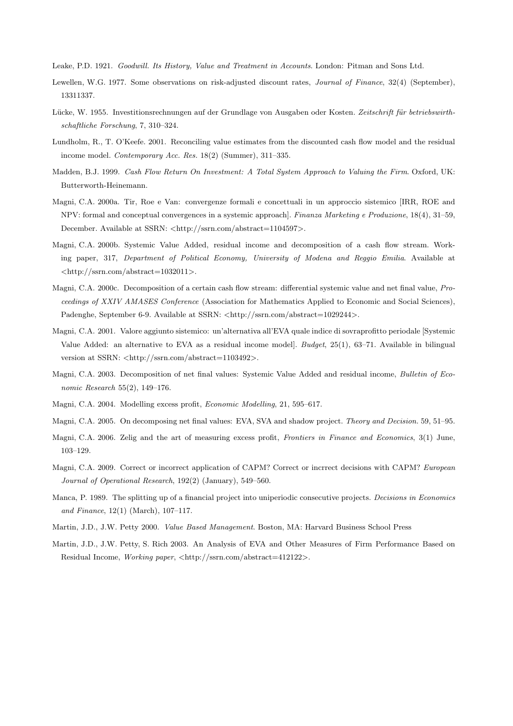Leake, P.D. 1921. *Goodwill. Its History, Value and Treatment in Accounts*. London: Pitman and Sons Ltd.

- Lewellen, W.G. 1977. Some observations on risk-adjusted discount rates, *Journal of Finance*, 32(4) (September), 13311337.
- Lücke, W. 1955. Investitionsrechnungen auf der Grundlage von Ausgaben oder Kosten. Zeitschrift für betriebswirth*schaftliche Forschung*, 7, 310–324.
- Lundholm, R., T. O'Keefe. 2001. Reconciling value estimates from the discounted cash flow model and the residual income model. *Contemporary Acc. Res.* 18(2) (Summer), 311–335.
- Madden, B.J. 1999. *Cash Flow Return On Investment: A Total System Approach to Valuing the Firm*. Oxford, UK: Butterworth-Heinemann.
- Magni, C.A. 2000a. Tir, Roe e Van: convergenze formali e concettuali in un approccio sistemico [IRR, ROE and NPV: formal and conceptual convergences in a systemic approach]. *Finanza Marketing e Produzione*, 18(4), 31–59, December. Available at SSRN: <http://ssrn.com/abstract=1104597>.
- Magni, C.A. 2000b. Systemic Value Added, residual income and decomposition of a cash flow stream. Working paper, 317, *Department of Political Economy, University of Modena and Reggio Emilia*. Available at <http://ssrn.com/abstract=1032011>.
- Magni, C.A. 2000c. Decomposition of a certain cash flow stream: differential systemic value and net final value, *Proceedings of XXIV AMASES Conference* (Association for Mathematics Applied to Economic and Social Sciences), Padenghe, September 6-9. Available at SSRN: <http://ssrn.com/abstract=1029244>.
- Magni, C.A. 2001. Valore aggiunto sistemico: un'alternativa all'EVA quale indice di sovraprofitto periodale [Systemic Value Added: an alternative to EVA as a residual income model]. *Budget*, 25(1), 63–71. Available in bilingual version at SSRN: <http://ssrn.com/abstract=1103492>.
- Magni, C.A. 2003. Decomposition of net final values: Systemic Value Added and residual income, *Bulletin of Economic Research* 55(2), 149–176.
- Magni, C.A. 2004. Modelling excess profit, *Economic Modelling*, 21, 595–617.
- Magni, C.A. 2005. On decomposing net final values: EVA, SVA and shadow project. *Theory and Decision.* 59, 51–95.
- Magni, C.A. 2006. Zelig and the art of measuring excess profit, *Frontiers in Finance and Economics*, 3(1) June, 103–129.
- Magni, C.A. 2009. Correct or incorrect application of CAPM? Correct or incrrect decisions with CAPM? *European Journal of Operational Research*, 192(2) (January), 549–560.
- Manca, P. 1989. The splitting up of a financial project into uniperiodic consecutive projects. *Decisions in Economics and Finance*, 12(1) (March), 107–117.
- Martin, J.D., J.W. Petty 2000. *Value Based Management*. Boston, MA: Harvard Business School Press
- Martin, J.D., J.W. Petty, S. Rich 2003. An Analysis of EVA and Other Measures of Firm Performance Based on Residual Income, *Working paper*, <http://ssrn.com/abstract=412122>.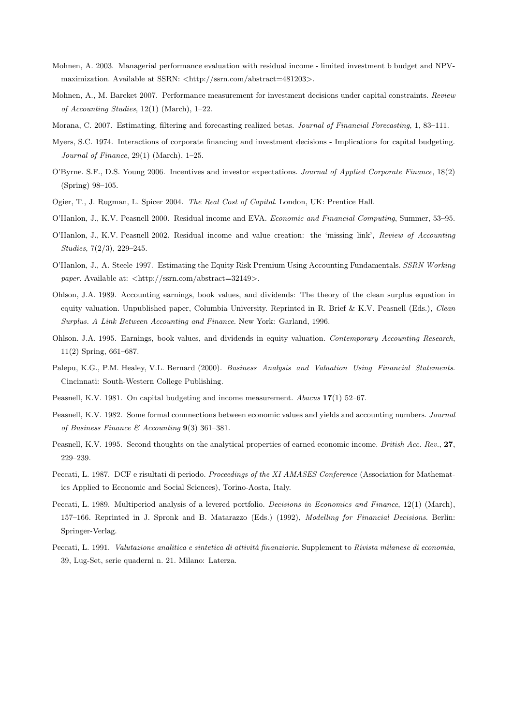- Mohnen, A. 2003. Managerial performance evaluation with residual income limited investment b budget and NPVmaximization. Available at SSRN: <http://ssrn.com/abstract=481203>.
- Mohnen, A., M. Bareket 2007. Performance measurement for investment decisions under capital constraints. *Review of Accounting Studies*, 12(1) (March), 1–22.
- Morana, C. 2007. Estimating, filtering and forecasting realized betas. *Journal of Financial Forecasting*, 1, 83–111.
- Myers, S.C. 1974. Interactions of corporate financing and investment decisions Implications for capital budgeting. *Journal of Finance*, 29(1) (March), 1–25.
- O'Byrne. S.F., D.S. Young 2006. Incentives and investor expectations. *Journal of Applied Corporate Finance*, 18(2) (Spring) 98–105.
- Ogier, T., J. Rugman, L. Spicer 2004. *The Real Cost of Capital*. London, UK: Prentice Hall.
- O'Hanlon, J., K.V. Peasnell 2000. Residual income and EVA. *Economic and Financial Computing*, Summer, 53–95.
- O'Hanlon, J., K.V. Peasnell 2002. Residual income and value creation: the 'missing link', *Review of Accounting Studies*, 7(2/3), 229–245.
- O'Hanlon, J., A. Steele 1997. Estimating the Equity Risk Premium Using Accounting Fundamentals. *SSRN Working paper*. Available at: <http://ssrn.com/abstract=32149>.
- Ohlson, J.A. 1989. Accounting earnings, book values, and dividends: The theory of the clean surplus equation in equity valuation. Unpublished paper, Columbia University. Reprinted in R. Brief & K.V. Peasnell (Eds.), *Clean Surplus. A Link Between Accounting and Finance*. New York: Garland, 1996.
- Ohlson. J.A. 1995. Earnings, book values, and dividends in equity valuation. *Contemporary Accounting Research*, 11(2) Spring, 661–687.
- Palepu, K.G., P.M. Healey, V.L. Bernard (2000). *Business Analysis and Valuation Using Financial Statements*. Cincinnati: South-Western College Publishing.
- Peasnell, K.V. 1981. On capital budgeting and income measurement. *Abacus* 17(1) 52–67.
- Peasnell, K.V. 1982. Some formal connnections between economic values and yields and accounting numbers. *Journal of Business Finance & Accounting* 9(3) 361–381.
- Peasnell, K.V. 1995. Second thoughts on the analytical properties of earned economic income. *British Acc. Rev.*, 27, 229–239.
- Peccati, L. 1987. DCF e risultati di periodo. *Proceedings of the XI AMASES Conference* (Association for Mathematics Applied to Economic and Social Sciences), Torino-Aosta, Italy.
- Peccati, L. 1989. Multiperiod analysis of a levered portfolio. *Decisions in Economics and Finance*, 12(1) (March), 157–166. Reprinted in J. Spronk and B. Matarazzo (Eds.) (1992), *Modelling for Financial Decisions*. Berlin: Springer-Verlag.
- Peccati, L. 1991. *Valutazione analitica e sintetica di attività finanziarie*. Supplement to *Rivista milanese di economia*, 39, Lug-Set, serie quaderni n. 21. Milano: Laterza.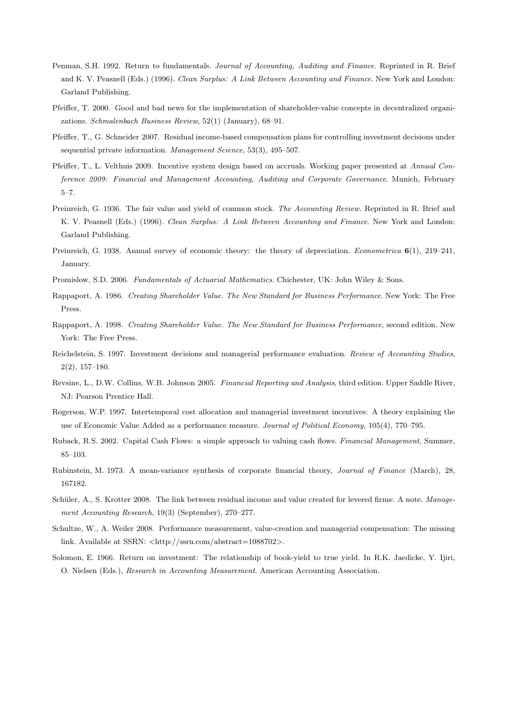- Penman, S.H. 1992. Return to fundamentals. *Journal of Accounting, Auditing and Finance.* Reprinted in R. Brief and K. V. Peasnell (Eds.) (1996). *Clean Surplus: A Link Between Accounting and Finance*. New York and London: Garland Publishing.
- Pfeiffer, T. 2000. Good and bad news for the implementation of shareholder-value concepts in decentralized organizations. *Schmalenbach Business Review*, 52(1) (January), 68–91.
- Pfeiffer, T., G. Schneider 2007. Residual income-based compensation plans for controlling investment decisions under sequential private information. *Management Science*, 53(3), 495–507.
- Pfeiffer, T., L. Velthuis 2009. Incentive system design based on accruals. Working paper presented at *Annual Conference 2009: Financial and Management Accounting, Auditing and Corporate Governance*. Munich, February 5–7.
- Preinreich, G. 1936. The fair value and yield of common stock. *The Accounting Review.* Reprinted in R. Brief and K. V. Peasnell (Eds.) (1996). *Clean Surplus: A Link Between Accounting and Finance*. New York and London: Garland Publishing.
- Preinreich, G. 1938. Annual survey of economic theory: the theory of depreciation. *Econometrica* 6(1), 219–241, January.
- Promislow, S.D. 2006. *Fundamentals of Actuarial Mathematics*. Chichester, UK: John Wiley & Sons.
- Rappaport, A. 1986. *Creating Shareholder Value. The New Standard for Business Performance*. New York: The Free Press.
- Rappaport, A. 1998. *Creating Shareholder Value. The New Standard for Business Performance*, second edition. New York: The Free Press.
- Reichelstein, S. 1997. Investment decisions and managerial performance evaluation. *Review of Accounting Studies*, 2(2), 157–180.
- Revsine, L., D.W. Collins, W.B. Johnson 2005. *Financial Reporting and Analysis*, third edition. Upper Saddle River, NJ: Pearson Prentice Hall.
- Rogerson, W.P. 1997. Intertemporal cost allocation and managerial investment incentives: A theory explaining the use of Economic Value Added as a performance measure. *Journal of Political Economy*, 105(4), 770–795.
- Ruback, R.S. 2002. Capital Cash Flows: a simple approach to valuing cash flows. *Financial Management*, Summer, 85–103.
- Rubinstein, M. 1973. A mean-variance synthesis of corporate financial theory, *Journal of Finance* (March), 28, 167182.
- Schüler, A., S. Krotter 2008. The link between residual income and value created for levered firms: A note. *Management Accounting Research*, 19(3) (September), 270–277.
- Schultze, W., A. Weiler 2008. Performance measurement, value-creation and managerial compensation: The missing link. Available at SSRN: <http://ssrn.com/abstract=1088702>.
- Solomon, E. 1966. Return on investment: The relationship of book-yield to true yield. In R.K. Jaedicke, Y. Ijiri, O. Nielsen (Eds.), *Research in Accounting Measurement*. American Accounting Association.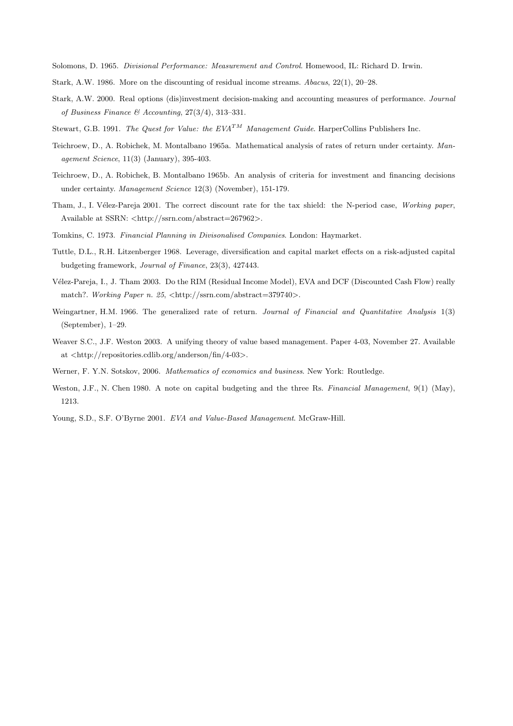Solomons, D. 1965. *Divisional Performance: Measurement and Control*. Homewood, IL: Richard D. Irwin.

- Stark, A.W. 1986. More on the discounting of residual income streams. *Abacus*, 22(1), 20–28.
- Stark, A.W. 2000. Real options (dis)investment decision-making and accounting measures of performance. *Journal of Business Finance & Accounting*, 27(3/4), 313–331.
- Stewart, G.B. 1991. *The Quest for Value: the EVA<sup>TM</sup> Management Guide*. HarperCollins Publishers Inc.
- Teichroew, D., A. Robichek, M. Montalbano 1965a. Mathematical analysis of rates of return under certainty. *Management Science*, 11(3) (January), 395-403.
- Teichroew, D., A. Robichek, B. Montalbano 1965b. An analysis of criteria for investment and financing decisions under certainty. *Management Science* 12(3) (November), 151-179.
- Tham, J., I. V´elez-Pareja 2001. The correct discount rate for the tax shield: the N-period case, *Working paper*, Available at SSRN: <http://ssrn.com/abstract=267962>.
- Tomkins, C. 1973. *Financial Planning in Divisonalised Companies*. London: Haymarket.
- Tuttle, D.L., R.H. Litzenberger 1968. Leverage, diversification and capital market effects on a risk-adjusted capital budgeting framework, *Journal of Finance*, 23(3), 427443.
- V´elez-Pareja, I., J. Tham 2003. Do the RIM (Residual Income Model), EVA and DCF (Discounted Cash Flow) really match?. *Working Paper n. 25*,  $\langle \text{http://ssrn.com/abstract=379740>}$ .
- Weingartner, H.M. 1966. The generalized rate of return. *Journal of Financial and Quantitative Analysis* 1(3) (September), 1–29.
- Weaver S.C., J.F. Weston 2003. A unifying theory of value based management. Paper 4-03, November 27. Available at <http://repositories.cdlib.org/anderson/fin/4-03>.
- Werner, F. Y.N. Sotskov, 2006. *Mathematics of economics and business*. New York: Routledge.
- Weston, J.F., N. Chen 1980. A note on capital budgeting and the three Rs. *Financial Management*, 9(1) (May), 1213.
- Young, S.D., S.F. O'Byrne 2001. *EVA and Value-Based Management*. McGraw-Hill.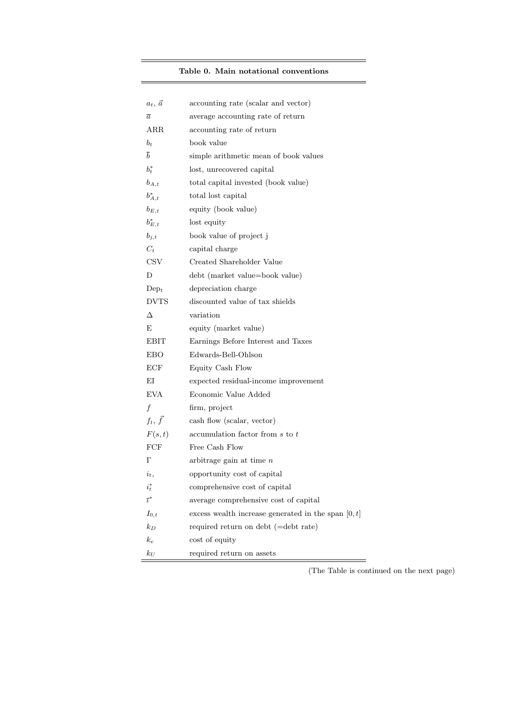## Table 0. Main notational conventions

| $a_t$ , $\vec{a}$           | accounting rate (scalar and vector)                   |
|-----------------------------|-------------------------------------------------------|
| $\overline{a}$              | average accounting rate of return                     |
| ARR                         | accounting rate of return                             |
| $b_t$                       | book value                                            |
| $\overline{b}$              | simple arithmetic mean of book values                 |
| $b_t^*$                     | lost, unrecovered capital                             |
| $b_{A,t}$                   | total capital invested (book value)                   |
| $b_{A,t}^*$                 | total lost capital                                    |
| $b_{E,t}$                   | equity (book value)                                   |
| $b_{E,t}^*$                 | lost equity                                           |
| $b_{j,t}$                   | book value of project j                               |
| $C_t$                       | capital charge                                        |
| $\mathop{\rm CSV}\nolimits$ | Created Shareholder Value                             |
| D                           | debt (market value=book value)                        |
| Dep <sub>t</sub>            | depreciation charge                                   |
| <b>DVTS</b>                 | discounted value of tax shields                       |
| Δ                           | variation                                             |
| Е                           | equity (market value)                                 |
| EBIT                        | Earnings Before Interest and Taxes                    |
| EBO                         | Edwards-Bell-Ohlson                                   |
| ECF                         | Equity Cash Flow                                      |
| ΕI                          | expected residual-income improvement                  |
| EVA                         | Economic Value Added                                  |
| $\boldsymbol{f}$            | firm, project                                         |
| $f_t, \vec{f}$              | cash flow (scalar, vector)                            |
| F(s,t)                      | accumulation factor from s to t                       |
| FCF                         | Free Cash Flow                                        |
| Г                           | arbitrage gain at time $n$                            |
| $i_t$ ,                     | opportunity cost of capital                           |
| $\imath_t$                  | comprehensive cost of capital                         |
| $\overline{\iota}^*$        | average comprehensive cost of capital                 |
| $I_{0,t}$                   | excess wealth increase generated in the span $[0, t]$ |
| $k_D$                       | required return on debt (=debt rate)                  |
| $k_e$                       | cost of equity                                        |
| $k_U$                       | required return on assets                             |

(The Table is continued on the next page)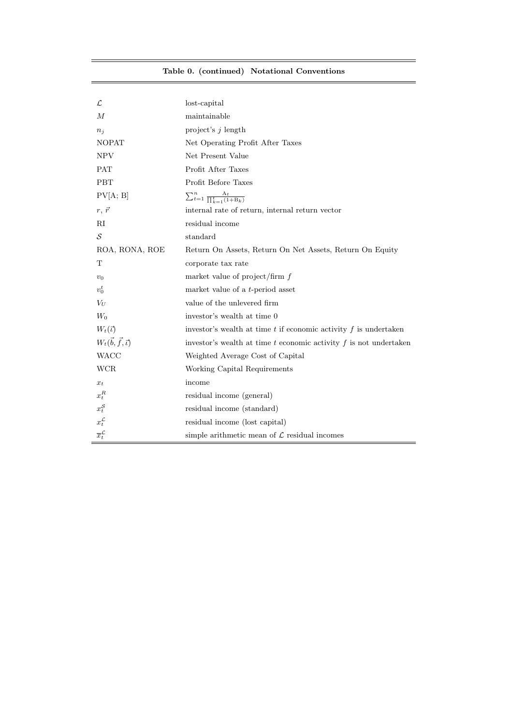|  | Table 0. (continued) Notational Conventions |
|--|---------------------------------------------|
|  |                                             |

 $=$ 

| $\mathcal{L}% _{G}$                  | lost-capital                                                          |
|--------------------------------------|-----------------------------------------------------------------------|
| М                                    | maintainable                                                          |
| $n_j$                                | project's $j$ length                                                  |
| <b>NOPAT</b>                         | Net Operating Profit After Taxes                                      |
| NPV                                  | Net Present Value                                                     |
| PAT                                  | Profit After Taxes                                                    |
| <b>PBT</b>                           | Profit Before Taxes                                                   |
| PV[A; B]                             | $\sum_{t=1}^{n} \frac{A_t}{\prod_{k=1}^{t} (1 + B_k)}$                |
| $r, \vec{r}$                         | internal rate of return, internal return vector                       |
| RI                                   | residual income                                                       |
| S                                    | standard                                                              |
| ROA, RONA, ROE                       | Return On Assets, Return On Net Assets, Return On Equity              |
| T                                    | corporate tax rate                                                    |
| $v_0$                                | market value of project/firm $f$                                      |
| $v_0^t$                              | market value of a <i>t</i> -period asset                              |
| $V_U$                                | value of the unlevered firm                                           |
| $W_0$                                | investor's wealth at time 0                                           |
| $W_t(\vec{v})$                       | investor's wealth at time $t$ if economic activity $f$ is undertaken  |
| $W_t(\vec{b}, \vec{f}, \vec{\iota})$ | investor's wealth at time $t$ economic activity $f$ is not undertaken |
| <b>WACC</b>                          | Weighted Average Cost of Capital                                      |
| WCR                                  | Working Capital Requirements                                          |
| $x_t$                                | income                                                                |
| $x_t^R$                              | residual income (general)                                             |
| $x_t^{\mathcal{S}}$                  | residual income (standard)                                            |
| $x_t^{\mathcal{L}}$                  | residual income (lost capital)                                        |
| $\overline{x}_{t}^{\mathcal{L}}$     | simple arithmetic mean of $\mathcal L$ residual incomes               |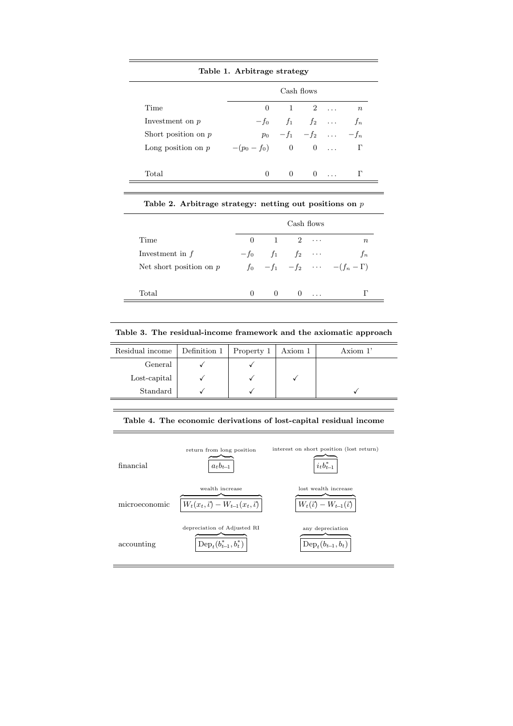|                       | Cash flows         |  |                            |  |                  |  |
|-----------------------|--------------------|--|----------------------------|--|------------------|--|
| Time                  | 0                  |  | $1 \quad 2 \quad \dots$    |  | $\boldsymbol{n}$ |  |
| Investment on $p$     |                    |  | $-f_0$ $f_1$ $f_2$         |  | $f_n$            |  |
| Short position on $p$ |                    |  | $p_0$ $-f_1$ $-f_2$ $-f_n$ |  |                  |  |
| Long position on $p$  | $-(p_0 - f_0)$ 0 0 |  |                            |  | Г                |  |

|                           |          |                | Cash flows                  |            |                                                |
|---------------------------|----------|----------------|-----------------------------|------------|------------------------------------------------|
| Time                      | $\Omega$ | $\overline{1}$ | $2 \cdots$                  |            | $\, n$                                         |
| Investment in $f$         |          |                | $-f_0$ $f_1$ $f_2$ $\cdots$ |            | $f_n$                                          |
| Net short position on $p$ |          |                |                             |            | $f_0$ $-f_1$ $-f_2$ $\cdots$ $-(f_n - \Gamma)$ |
| Total                     | 0        | -0             |                             | $0 \ldots$ | г                                              |

Table 2. Arbitrage strategy: netting out positions on  $\boldsymbol{p}$ 

Table 3. The residual-income framework and the axiomatic approach

| Residual income | Definition 1   Property 1 | Axiom 1 | Axiom $1'$ |
|-----------------|---------------------------|---------|------------|
| General         |                           |         |            |
| Lost-capital    |                           |         |            |
| Standard        |                           |         |            |

#### Table 4. The economic derivations of lost-capital residual income

| financial     | return from long position<br>$a_t b_{t-1}$                             | interest on short position (lost return)<br>$i_t b_{t-1}^*$ |
|---------------|------------------------------------------------------------------------|-------------------------------------------------------------|
| microeconomic | wealth increase<br>$W_t(x_t, \vec{\iota}) - W_{t-1}(x_t, \vec{\iota})$ | lost wealth increase<br>$W_t(\vec{u}) - W_{t-1}(\vec{u})$   |
| accounting    | depreciation of Adjusted RI<br>$\text{Dep}_t(b_{t-1}^*,b_t^*)$         | any depreciation<br>$Dep_{t}(b_{t-1},b_{t})$                |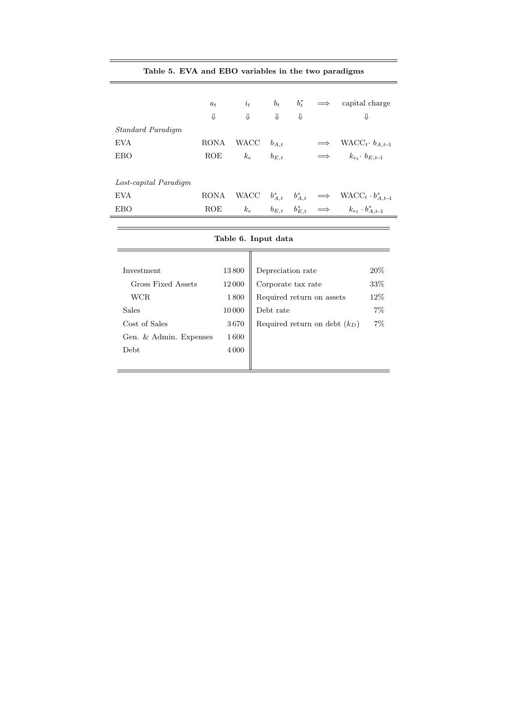## Table 5. EVA and EBO variables in the two paradigms

|                       | $a_t$<br>⇓  | $i_t$<br>⇓ | $b_t$<br>⇓  | $b_t^*$<br>⇓ |            | capital charge<br>⇓                          |
|-----------------------|-------------|------------|-------------|--------------|------------|----------------------------------------------|
| Standard Paradigm     |             |            |             |              |            |                                              |
| <b>EVA</b>            | <b>RONA</b> | WACC       | $b_{A,t}$   |              |            | WACC <sub>t</sub> $b_{A,t-1}$                |
| <b>EBO</b>            | ROE         | $k_e$      | $b_{E,t}$   |              |            | $k_{e_t}$ $b_{E,t-1}$                        |
|                       |             |            |             |              |            |                                              |
| Lost-capital Paradigm |             |            |             |              |            |                                              |
| <b>EVA</b>            | <b>RONA</b> | WACC       | $b_{A,t}^*$ | $b^*_{A,t}$  |            | $\implies$ WACC <sub>t</sub> · $b_{A,t-1}^*$ |
| <b>EBO</b>            | ROE         | $k_e$      | $b_{E,t}$   | $b_{E,t}^*$  | $\implies$ | $k_{e_t} \cdot b^*_{A,t-1}$                  |
|                       |             |            |             |              |            |                                              |

|                        |         | Table 6. Input data             |       |
|------------------------|---------|---------------------------------|-------|
|                        |         |                                 |       |
|                        |         |                                 |       |
| Investment             | 13800   | Depreciation rate               | 20%   |
| Gross Fixed Assets     | 12000   | Corporate tax rate              | 33\%  |
| WCR                    | 1800    | Required return on assets       | 12\%  |
| <b>Sales</b>           | 10000   | Debt rate                       | $7\%$ |
| Cost of Sales          | 3670    | Required return on debt $(k_D)$ | 7%    |
| Gen. & Admin. Expenses | 1600    |                                 |       |
| <b>Debt</b>            | 4 0 0 0 |                                 |       |
|                        |         |                                 |       |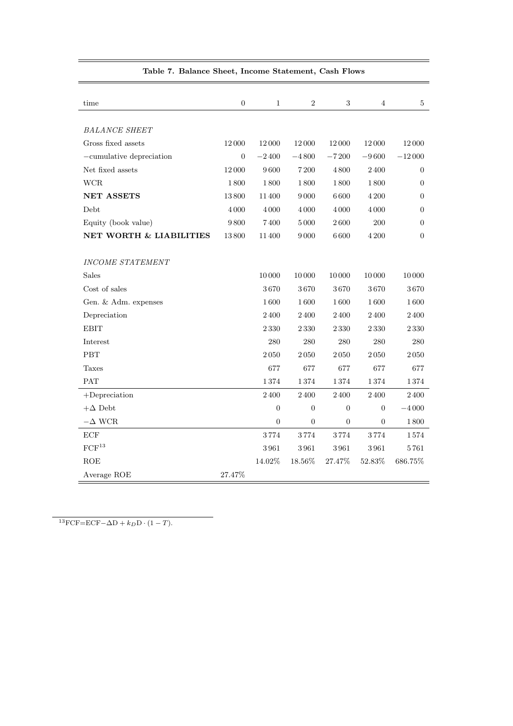| time                               | $\boldsymbol{0}$ | $\mathbf{1}$     | $\sqrt{2}$       | $\sqrt{3}$       | 4                | 5                |
|------------------------------------|------------------|------------------|------------------|------------------|------------------|------------------|
|                                    |                  |                  |                  |                  |                  |                  |
| <b>BALANCE SHEET</b>               |                  |                  |                  |                  |                  |                  |
| Gross fixed assets                 | 12000            | 12000            | 12000            | 12000            | 12000            | 12000            |
| $-cumulative depreciation$         | $\boldsymbol{0}$ | $-2400$          | $-4800$          | $-7200$          | $-9600$          | $-12000$         |
| Net fixed assets                   | 12000            | 9600             | 7200             | 4800             | 2400             | 0                |
| <b>WCR</b>                         | 1800             | 1800             | 1800             | 1800             | 1800             | $\overline{0}$   |
| <b>NET ASSETS</b>                  | 13800            | 11400            | 9000             | 6600             | 4 200            | $\overline{0}$   |
| Debt                               | 4000             | 4000             | 4000             | 4000             | 4 0 0 0          | $\boldsymbol{0}$ |
| Equity (book value)                | 9800             | 7400             | 5000             | 2600             | 200              | $\overline{0}$   |
| <b>NET WORTH &amp; LIABILITIES</b> | 13800            | 11400            | 9000             | 6600             | 4 200            | 0                |
|                                    |                  |                  |                  |                  |                  |                  |
| <b>INCOME STATEMENT</b>            |                  |                  |                  |                  |                  |                  |
| <b>Sales</b>                       |                  | 10000            | 10000            | 10000            | 10000            | 10000            |
| Cost of sales                      |                  | 3670             | 3670             | 3670             | 3670             | 3670             |
| Gen. & Adm. expenses               |                  | 1600             | 1600             | 1600             | 1600             | 1600             |
| Depreciation                       |                  | 2400             | 2400             | 2400             | $2\,400$         | 2400             |
| <b>EBIT</b>                        |                  | 2330             | 2330             | 2330             | 2330             | 2330             |
| Interest                           |                  | 280              | 280              | 280              | 280              | 280              |
| <b>PBT</b>                         |                  | 2050             | 2050             | 2050             | 2050             | 2050             |
| Taxes                              |                  | 677              | 677              | 677              | 677              | 677              |
| <b>PAT</b>                         |                  | 1374             | 1374             | 1374             | 1374             | 1374             |
| $+$ Depreciation                   |                  | 2400             | 2400             | $2\,400$         | $2\,400$         | 2400             |
| $+\Delta$ Debt                     |                  | $\boldsymbol{0}$ | $\boldsymbol{0}$ | $\overline{0}$   | $\boldsymbol{0}$ | $-4000$          |
| $-\Delta$ WCR                      |                  | $\boldsymbol{0}$ | $\boldsymbol{0}$ | $\boldsymbol{0}$ | $\boldsymbol{0}$ | 1800             |
| ECF                                |                  | 3774             | 3774             | 3774             | 3774             | 1574             |
| FCF <sup>13</sup>                  |                  | 3961             | 3961             | 3961             | 3961             | 5761             |
| <b>ROE</b>                         |                  | 14.02%           | 18.56%           | 27.47%           | 52.83%           | 686.75%          |
| Average ROE                        | 27.47%           |                  |                  |                  |                  |                  |

### Table 7. Balance Sheet, Income Statement, Cash Flows

 $13$ FCF=ECF- $\Delta D + k_D D \cdot (1 - T)$ .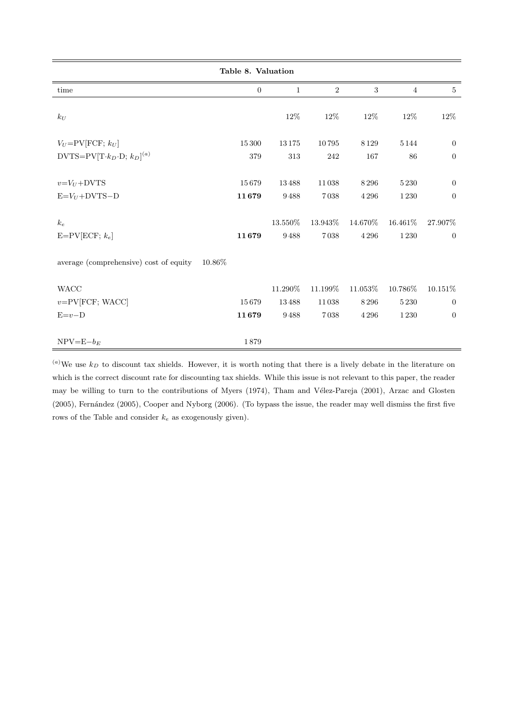|                                                   | Table 8. Valuation |               |                |                    |                    |                                    |
|---------------------------------------------------|--------------------|---------------|----------------|--------------------|--------------------|------------------------------------|
| time                                              | $\overline{0}$     | $\mathbf{1}$  | $\overline{2}$ | 3                  | $\overline{4}$     | 5                                  |
| $k_U$                                             |                    | $12\%$        | 12%            | $12\%$             | $12\%$             | $12\%$                             |
| $V_U = PV[FCF; k_U]$                              | 15 300             | 13175         | 10795          | 8 1 2 9            | $5\,144$           | $\overline{0}$                     |
| $DVTS=PV[T\cdot k_D\cdot D;\,k_D]^{(a)}$          | 379                | 313           | 242            | 167                | 86                 | $\boldsymbol{0}$                   |
| $v = V_U + DVTS$<br>$E=V_U+DVTS-D$                | 15679<br>11679     | 13488<br>9488 | 11038<br>7038  | 8 2 9 6<br>4 2 9 6 | 5 2 3 0<br>1 2 3 0 | $\overline{0}$<br>$\boldsymbol{0}$ |
|                                                   |                    |               |                |                    |                    |                                    |
| $k_e$                                             |                    | 13.550%       | 13.943%        | 14.670%            | 16.461\%           | 27.907%                            |
| $E=PV[ECF; k_e]$                                  | 11679              | 9488          | 7038           | 4 2 9 6            | 1 2 3 0            | $\overline{0}$                     |
| average (comprehensive) cost of equity<br>10.86\% |                    |               |                |                    |                    |                                    |
| $\rm WACC$                                        |                    | 11.290%       | 11.199%        | 11.053%            | 10.786%            | $10.151\%$                         |
| $v = PV$ [FCF; WACC]                              | 15679              | 13488         | 11038          | 8296               | 5230               | $\overline{0}$                     |
| $E=v-D$                                           | 11679              | 9488          | 7038           | 4 2 9 6            | $1\,230$           | $\boldsymbol{0}$                   |
| $NPV = E - b_E$                                   | 1879               |               |                |                    |                    |                                    |

 $^{(a)}$ We use  $k_D$  to discount tax shields. However, it is worth noting that there is a lively debate in the literature on which is the correct discount rate for discounting tax shields. While this issue is not relevant to this paper, the reader may be willing to turn to the contributions of Myers (1974), Tham and Vélez-Pareja (2001), Arzac and Glosten (2005), Fernández (2005), Cooper and Nyborg (2006). (To bypass the issue, the reader may well dismiss the first five rows of the Table and consider  $k_e$  as exogenously given).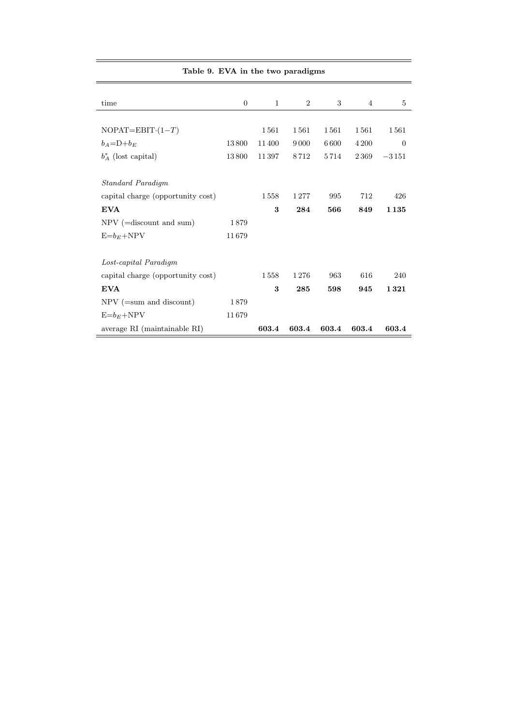| Table 9. EVA in the two paradigms |                  |              |                |       |       |         |
|-----------------------------------|------------------|--------------|----------------|-------|-------|---------|
| time                              | $\boldsymbol{0}$ | $\mathbf{1}$ | $\overline{2}$ | 3     | 4     |         |
|                                   |                  |              |                |       |       |         |
| $NOPAT = EBIT(1-T)$               |                  | 1561         | 1561           | 1561  | 1561  | 1561    |
| $b_A = D + b_E$                   | 13800            | 11400        | 9000           | 6 600 | 4 200 |         |
| $b_A^*$ (lost capital)            | 13800            | 11397        | 8712           | 5714  | 2369  | $-3151$ |
| <b>Standard Paradigm</b>          |                  |              |                |       |       |         |
| capital charge (opportunity cost) |                  | 1558         | 1277           | 995   | 712   | 426     |
| <b>EVA</b>                        |                  | 3            | 284            | 566   | 849   | 1135    |
| $NPV$ (=discount and sum)         | 1879             |              |                |       |       |         |
| $E=b_E+NPV$                       | 11679            |              |                |       |       |         |
| Lost-capital Paradigm             |                  |              |                |       |       |         |
| capital charge (opportunity cost) |                  | 1558         | 1276           | 963   | 616   | 240     |
| <b>EVA</b>                        |                  | 3            | 285            | 598   | 945   | 1321    |
| $NPV$ (=sum and discount)         | 1879             |              |                |       |       |         |
| $E = b_E + NPV$                   | 11679            |              |                |       |       |         |
| average RI (maintainable RI)      |                  | 603.4        | 603.4          | 603.4 | 603.4 | 603.4   |

 $\equiv$ 

 $\equiv$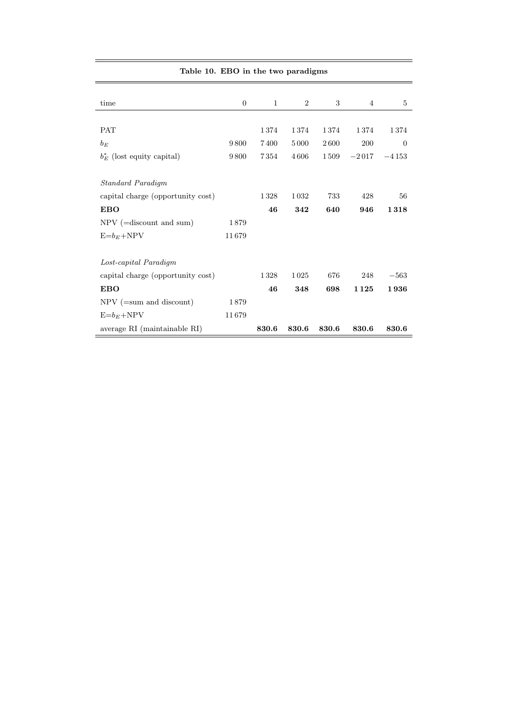| Table 10. EBO in the two paradigms |                |       |       |       |         |              |
|------------------------------------|----------------|-------|-------|-------|---------|--------------|
|                                    |                |       |       |       |         |              |
| time                               | $\overline{0}$ | 1     | 2     | 3     | 4       | 5            |
|                                    |                |       |       |       |         |              |
| <b>PAT</b>                         |                | 1374  | 1374  | 1374  | 1374    | 1374         |
| $b_E$                              | 9800           | 7400  | 5000  | 2600  | 200     | $\mathbf{0}$ |
| $b_E^*$ (lost equity capital)      | 9800           | 7354  | 4606  | 1509  | $-2017$ | $-4153$      |
|                                    |                |       |       |       |         |              |
| Standard Paradigm                  |                |       |       |       |         |              |
| capital charge (opportunity cost)  |                | 1328  | 1032  | 733   | 428     | 56           |
| <b>EBO</b>                         |                | 46    | 342   | 640   | 946     | 1318         |
| $NPV$ (=discount and sum)          | 1879           |       |       |       |         |              |
| $E=b_E+NPV$                        | 11679          |       |       |       |         |              |
|                                    |                |       |       |       |         |              |
| Lost-capital Paradigm              |                |       |       |       |         |              |
| capital charge (opportunity cost)  |                | 1328  | 1025  | 676   | 248     | $-563$       |
| <b>EBO</b>                         |                | 46    | 348   | 698   | 1125    | 1936         |
| $NPV$ (=sum and discount)          | 1879           |       |       |       |         |              |
| $E=b_E+NPV$                        | 11679          |       |       |       |         |              |
| average RI (maintainable RI)       |                | 830.6 | 830.6 | 830.6 | 830.6   | 830.6        |

 $\equiv$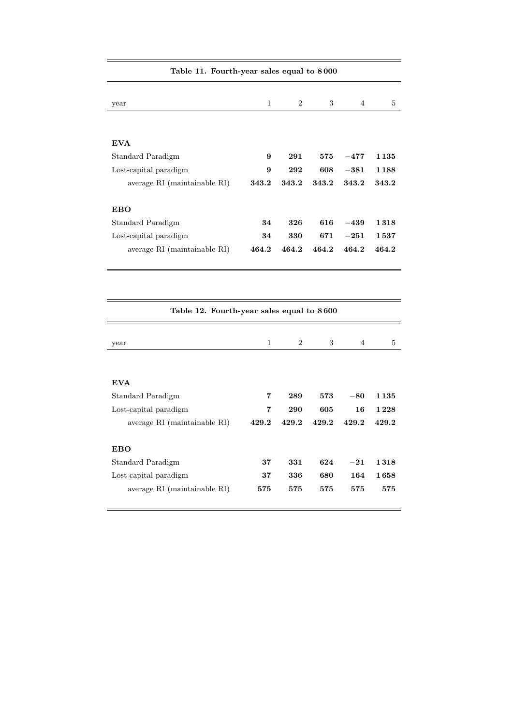| Lable 11. Fourth-year sales equal to 0000 |       |                |       |                |         |  |  |
|-------------------------------------------|-------|----------------|-------|----------------|---------|--|--|
| year                                      | 1     | $\overline{2}$ | 3     | $\overline{4}$ | 5       |  |  |
| <b>EVA</b>                                |       |                |       |                |         |  |  |
| Standard Paradigm                         | 9     | 291            | 575   | $-477$         | 1 1 3 5 |  |  |
| Lost-capital paradigm                     | 9     | 292            | 608   | $-381$         | 1188    |  |  |
| average RI (maintainable RI)              | 343.2 | 343.2          | 343.2 | 343.2          | 343.2   |  |  |
| EBO                                       |       |                |       |                |         |  |  |
| Standard Paradigm                         | 34    | 326            | 616   | $-439$         | 1318    |  |  |
| Lost-capital paradigm                     | 34    | 330            | 671   | $-251$         | 1537    |  |  |
| average RI (maintainable RI)              | 464.2 | 464.2          | 464.2 | 464.2          | 464.2   |  |  |

| Table 12. Fourth-year sales equal to 8600 |       |                |       |       |         |  |  |
|-------------------------------------------|-------|----------------|-------|-------|---------|--|--|
|                                           |       |                |       |       |         |  |  |
| year                                      | 1     | $\overline{2}$ | 3     | 4     | 5       |  |  |
| <b>EVA</b>                                |       |                |       |       |         |  |  |
| Standard Paradigm                         | 7     | 289            | 573   | $-80$ | 1 1 3 5 |  |  |
|                                           |       |                |       |       |         |  |  |
| Lost-capital paradigm                     | 7     | 290            | 605   | 16    | 1 2 2 8 |  |  |
| average RI (maintainable RI)              | 429.2 | 429.2          | 429.2 | 429.2 | 429.2   |  |  |
| <b>EBO</b>                                |       |                |       |       |         |  |  |
| Standard Paradigm                         | 37    | 331            | 624   | $-21$ | 1318    |  |  |
| Lost-capital paradigm                     | 37    | 336            | 680   | 164   | 1658    |  |  |
| average RI (maintainable RI)              | 575   | 575            | 575   | 575   | 575     |  |  |

## Table 11. Fourth-year sales equal to 8 000

 $=$ 

 $\overline{\phantom{0}}$ 

 $\overline{\phantom{0}}$ 

 $\equiv$ 

 $\equiv$